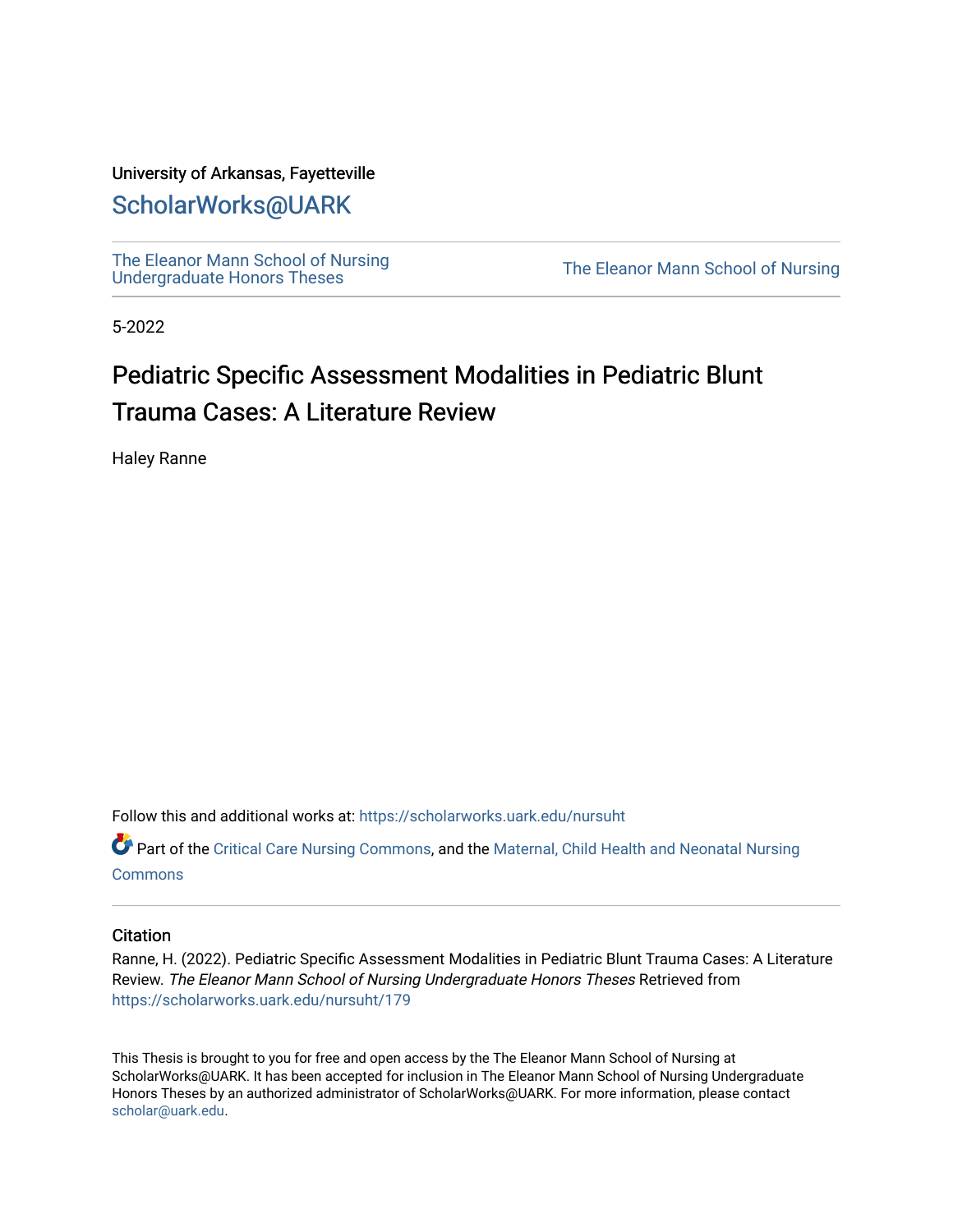### University of Arkansas, Fayetteville

# [ScholarWorks@UARK](https://scholarworks.uark.edu/)

[The Eleanor Mann School of Nursing](https://scholarworks.uark.edu/nursuht)<br>Undergraduate Honors Theses

The Eleanor Mann School of Nursing

5-2022

# Pediatric Specific Assessment Modalities in Pediatric Blunt Trauma Cases: A Literature Review

Haley Ranne

Follow this and additional works at: [https://scholarworks.uark.edu/nursuht](https://scholarworks.uark.edu/nursuht?utm_source=scholarworks.uark.edu%2Fnursuht%2F179&utm_medium=PDF&utm_campaign=PDFCoverPages)

Part of the [Critical Care Nursing Commons](http://network.bepress.com/hgg/discipline/727?utm_source=scholarworks.uark.edu%2Fnursuht%2F179&utm_medium=PDF&utm_campaign=PDFCoverPages), and the [Maternal, Child Health and Neonatal Nursing](http://network.bepress.com/hgg/discipline/721?utm_source=scholarworks.uark.edu%2Fnursuht%2F179&utm_medium=PDF&utm_campaign=PDFCoverPages) **[Commons](http://network.bepress.com/hgg/discipline/721?utm_source=scholarworks.uark.edu%2Fnursuht%2F179&utm_medium=PDF&utm_campaign=PDFCoverPages)** 

#### **Citation**

Ranne, H. (2022). Pediatric Specific Assessment Modalities in Pediatric Blunt Trauma Cases: A Literature Review. The Eleanor Mann School of Nursing Undergraduate Honors Theses Retrieved from [https://scholarworks.uark.edu/nursuht/179](https://scholarworks.uark.edu/nursuht/179?utm_source=scholarworks.uark.edu%2Fnursuht%2F179&utm_medium=PDF&utm_campaign=PDFCoverPages)

This Thesis is brought to you for free and open access by the The Eleanor Mann School of Nursing at ScholarWorks@UARK. It has been accepted for inclusion in The Eleanor Mann School of Nursing Undergraduate Honors Theses by an authorized administrator of ScholarWorks@UARK. For more information, please contact [scholar@uark.edu](mailto:scholar@uark.edu).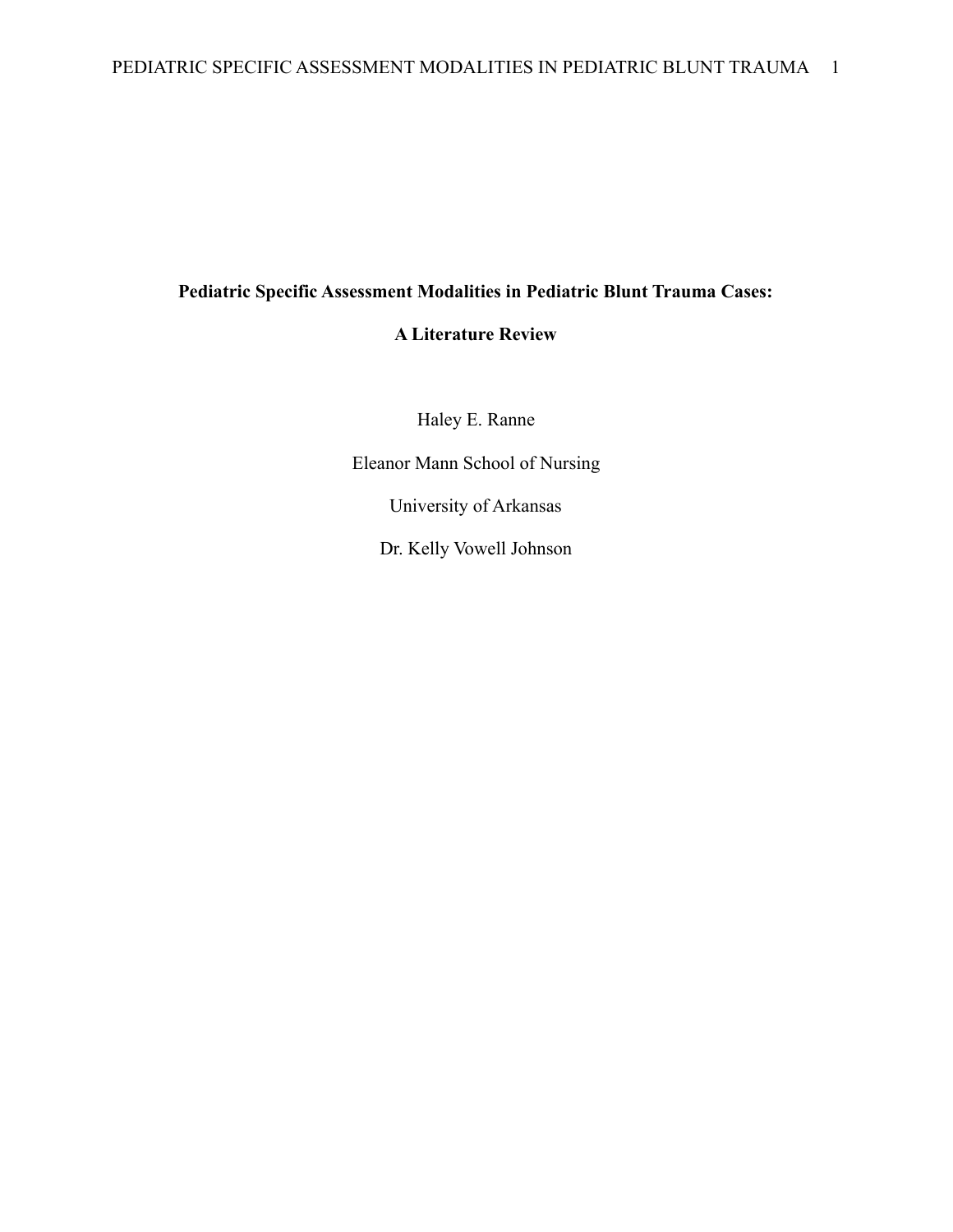# **Pediatric Specific Assessment Modalities in Pediatric Blunt Trauma Cases:**

## **A Literature Review**

Haley E. Ranne

Eleanor Mann School of Nursing

University of Arkansas

Dr. Kelly Vowell Johnson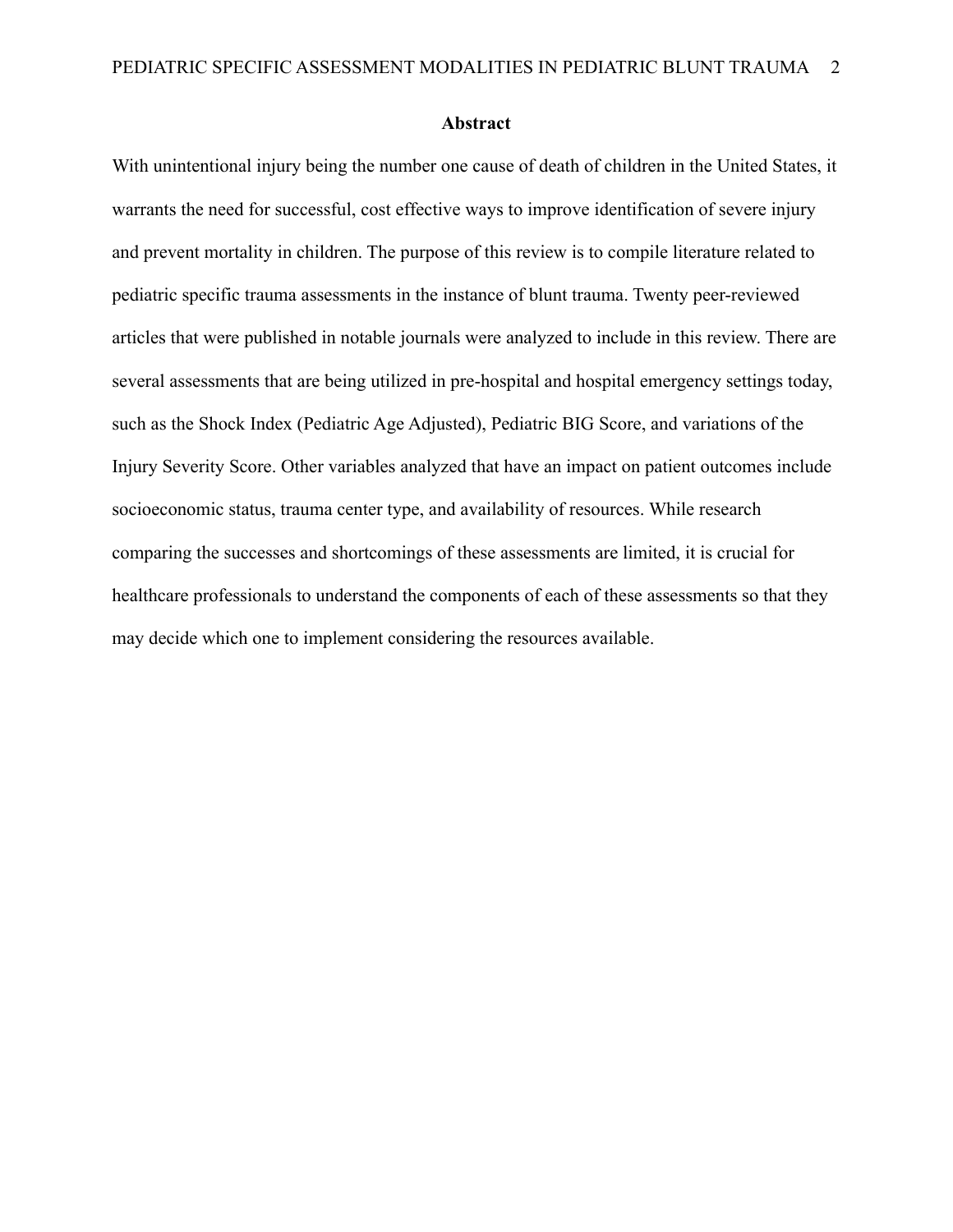### **Abstract**

With unintentional injury being the number one cause of death of children in the United States, it warrants the need for successful, cost effective ways to improve identification of severe injury and prevent mortality in children. The purpose of this review is to compile literature related to pediatric specific trauma assessments in the instance of blunt trauma. Twenty peer-reviewed articles that were published in notable journals were analyzed to include in this review. There are several assessments that are being utilized in pre-hospital and hospital emergency settings today, such as the Shock Index (Pediatric Age Adjusted), Pediatric BIG Score, and variations of the Injury Severity Score. Other variables analyzed that have an impact on patient outcomes include socioeconomic status, trauma center type, and availability of resources. While research comparing the successes and shortcomings of these assessments are limited, it is crucial for healthcare professionals to understand the components of each of these assessments so that they may decide which one to implement considering the resources available.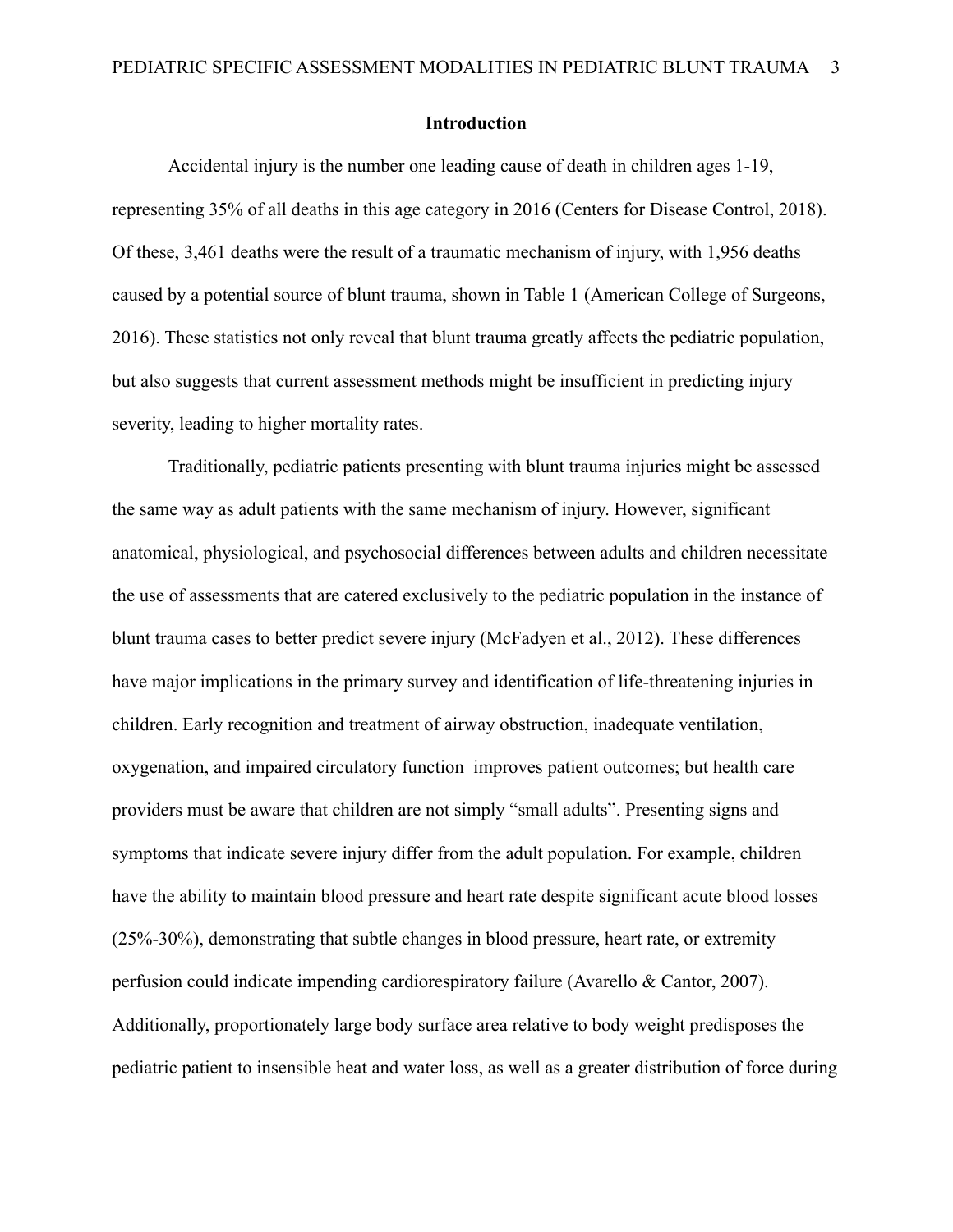### **Introduction**

Accidental injury is the number one leading cause of death in children ages 1-19, representing 35% of all deaths in this age category in 2016 (Centers for Disease Control, 2018). Of these, 3,461 deaths were the result of a traumatic mechanism of injury, with 1,956 deaths caused by a potential source of blunt trauma, shown in Table 1 (American College of Surgeons, 2016). These statistics not only reveal that blunt trauma greatly affects the pediatric population, but also suggests that current assessment methods might be insufficient in predicting injury severity, leading to higher mortality rates.

Traditionally, pediatric patients presenting with blunt trauma injuries might be assessed the same way as adult patients with the same mechanism of injury. However, significant anatomical, physiological, and psychosocial differences between adults and children necessitate the use of assessments that are catered exclusively to the pediatric population in the instance of blunt trauma cases to better predict severe injury (McFadyen et al., 2012). These differences have major implications in the primary survey and identification of life-threatening injuries in children. Early recognition and treatment of airway obstruction, inadequate ventilation, oxygenation, and impaired circulatory function improves patient outcomes; but health care providers must be aware that children are not simply "small adults". Presenting signs and symptoms that indicate severe injury differ from the adult population. For example, children have the ability to maintain blood pressure and heart rate despite significant acute blood losses (25%-30%), demonstrating that subtle changes in blood pressure, heart rate, or extremity perfusion could indicate impending cardiorespiratory failure (Avarello & Cantor, 2007). Additionally, proportionately large body surface area relative to body weight predisposes the pediatric patient to insensible heat and water loss, as well as a greater distribution of force during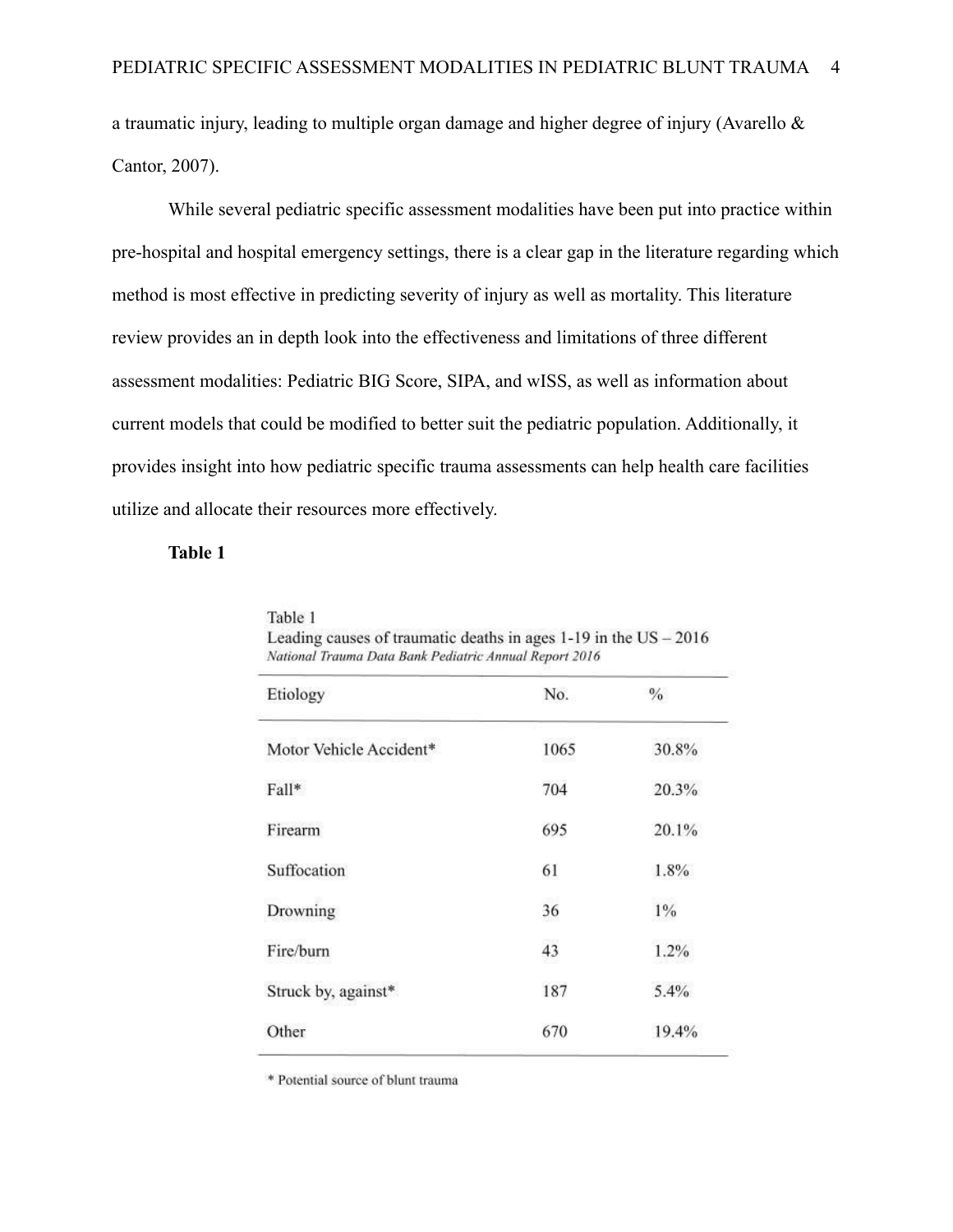a traumatic injury, leading to multiple organ damage and higher degree of injury (Avarello & Cantor, 2007).

While several pediatric specific assessment modalities have been put into practice within pre-hospital and hospital emergency settings, there is a clear gap in the literature regarding which method is most effective in predicting severity of injury as well as mortality. This literature review provides an in depth look into the effectiveness and limitations of three different assessment modalities: Pediatric BIG Score, SIPA, and wISS, as well as information about current models that could be modified to better suit the pediatric population. Additionally, it provides insight into how pediatric specific trauma assessments can help health care facilities utilize and allocate their resources more effectively.

### **Table 1**

| Etiology                | No.  | $\%$  |  |
|-------------------------|------|-------|--|
| Motor Vehicle Accident* | 1065 | 30.8% |  |
| Fall*                   | 704  | 20.3% |  |
| Firearm                 | 695  | 20.1% |  |
| Suffocation             | 61   | 1.8%  |  |
| Drowning                | 36   | 1%    |  |
| Fire/burn               | 43   | 1.2%  |  |
| Struck by, against*     | 187  | 5.4%  |  |
| Other                   | 670  | 19.4% |  |

Table 1 Leading causes of traumatic deaths in ages  $1-19$  in the US  $-2016$ 

\* Potential source of blunt trauma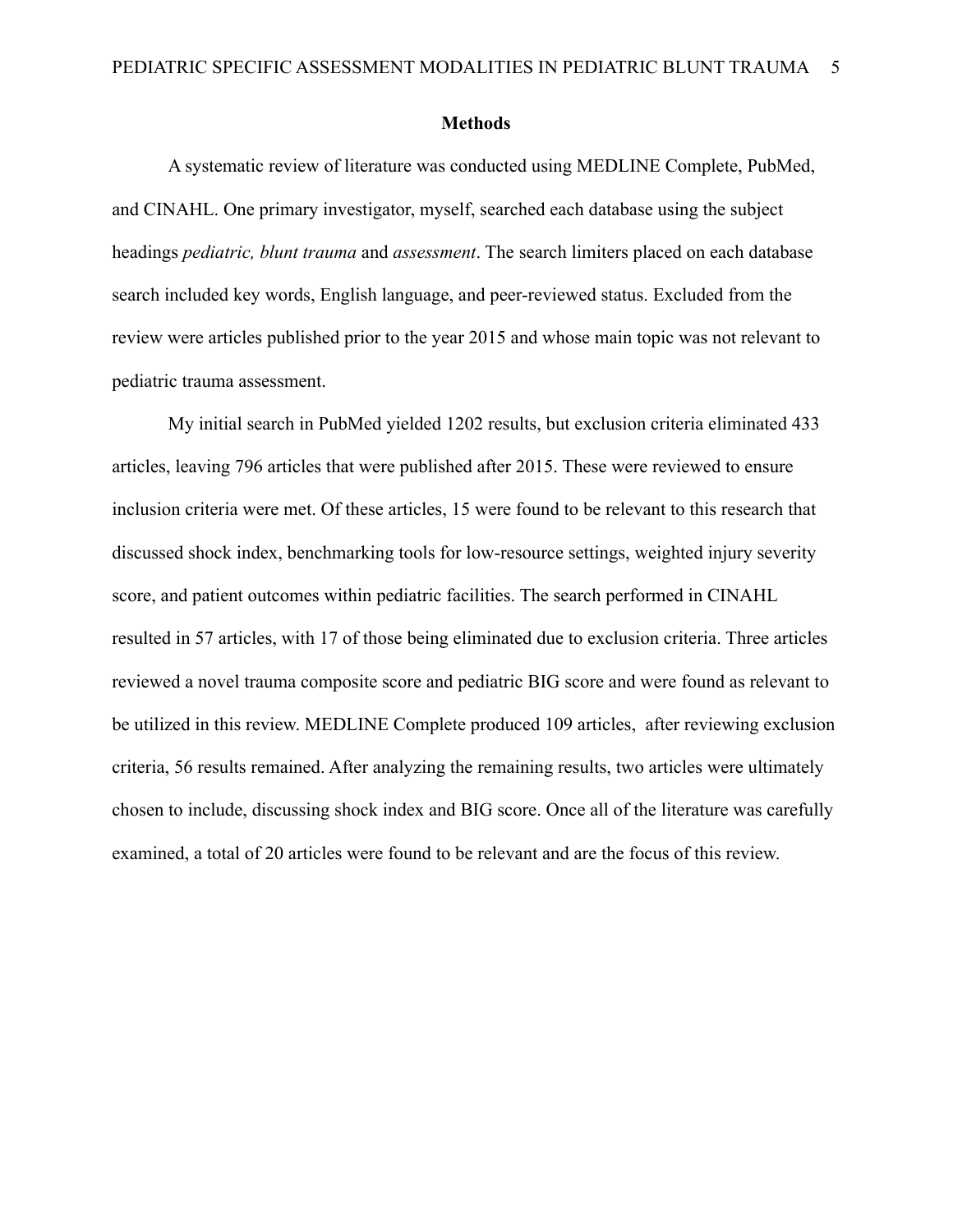### **Methods**

A systematic review of literature was conducted using MEDLINE Complete, PubMed, and CINAHL. One primary investigator, myself, searched each database using the subject headings *pediatric, blunt trauma* and *assessment*. The search limiters placed on each database search included key words, English language, and peer-reviewed status. Excluded from the review were articles published prior to the year 2015 and whose main topic was not relevant to pediatric trauma assessment.

My initial search in PubMed yielded 1202 results, but exclusion criteria eliminated 433 articles, leaving 796 articles that were published after 2015. These were reviewed to ensure inclusion criteria were met. Of these articles, 15 were found to be relevant to this research that discussed shock index, benchmarking tools for low-resource settings, weighted injury severity score, and patient outcomes within pediatric facilities. The search performed in CINAHL resulted in 57 articles, with 17 of those being eliminated due to exclusion criteria. Three articles reviewed a novel trauma composite score and pediatric BIG score and were found as relevant to be utilized in this review. MEDLINE Complete produced 109 articles, after reviewing exclusion criteria, 56 results remained. After analyzing the remaining results, two articles were ultimately chosen to include, discussing shock index and BIG score. Once all of the literature was carefully examined, a total of 20 articles were found to be relevant and are the focus of this review.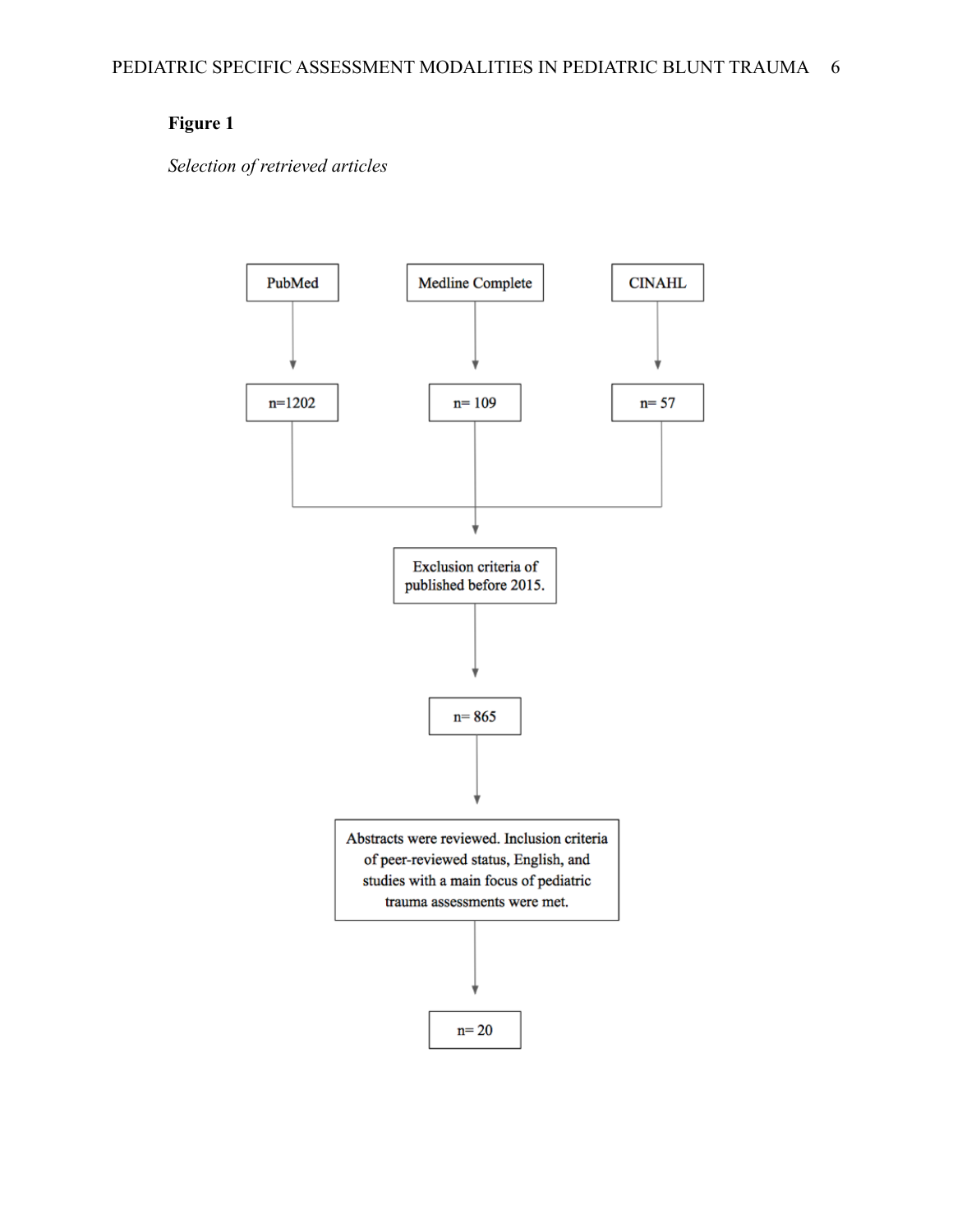# **Figure 1**

*Selection of retrieved articles*

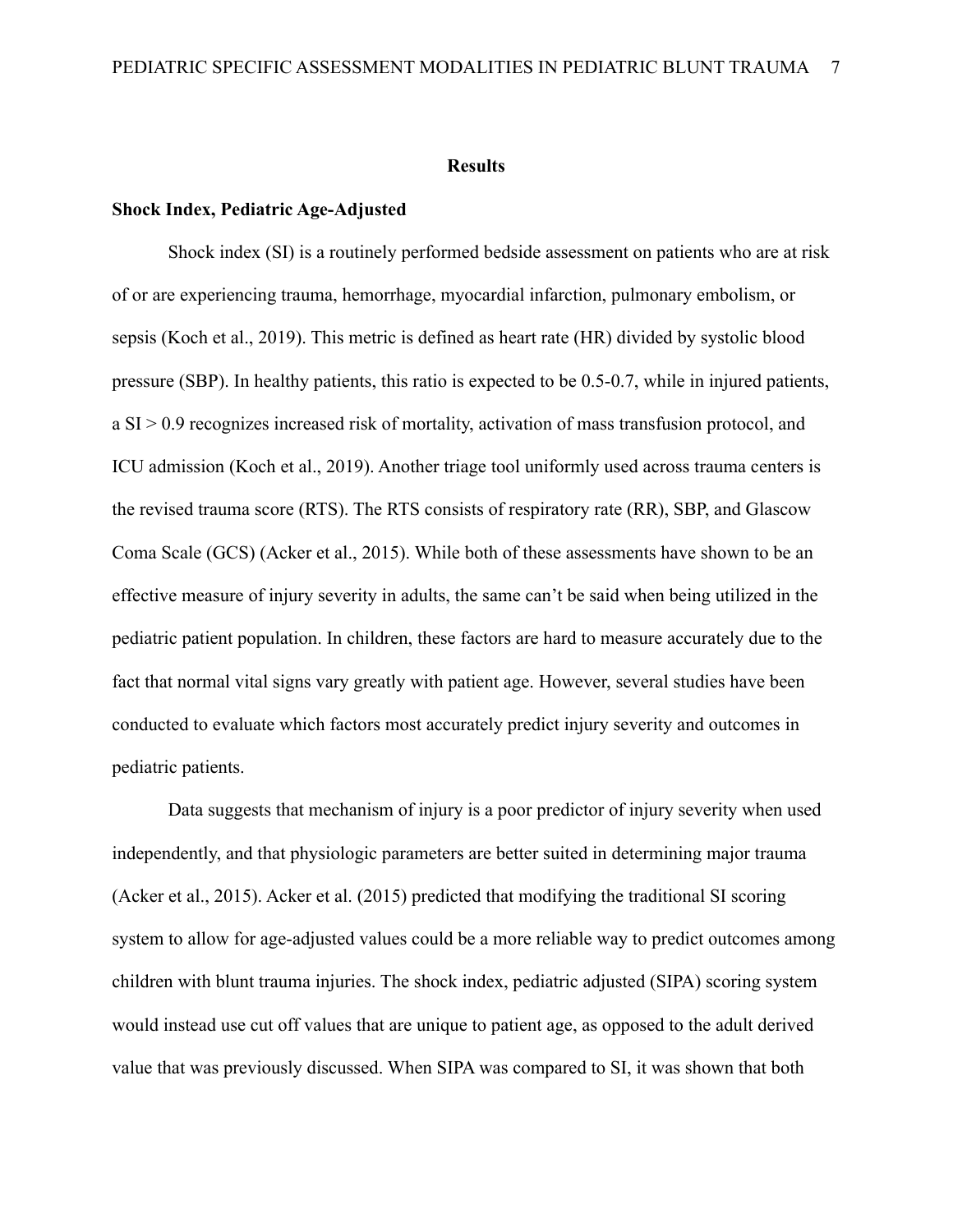### **Results**

### **Shock Index, Pediatric Age-Adjusted**

Shock index (SI) is a routinely performed bedside assessment on patients who are at risk of or are experiencing trauma, hemorrhage, myocardial infarction, pulmonary embolism, or sepsis (Koch et al., 2019). This metric is defined as heart rate (HR) divided by systolic blood pressure (SBP). In healthy patients, this ratio is expected to be 0.5-0.7, while in injured patients, a SI > 0.9 recognizes increased risk of mortality, activation of mass transfusion protocol, and ICU admission (Koch et al., 2019). Another triage tool uniformly used across trauma centers is the revised trauma score (RTS). The RTS consists of respiratory rate (RR), SBP, and Glascow Coma Scale (GCS) (Acker et al., 2015). While both of these assessments have shown to be an effective measure of injury severity in adults, the same can't be said when being utilized in the pediatric patient population. In children, these factors are hard to measure accurately due to the fact that normal vital signs vary greatly with patient age. However, several studies have been conducted to evaluate which factors most accurately predict injury severity and outcomes in pediatric patients.

Data suggests that mechanism of injury is a poor predictor of injury severity when used independently, and that physiologic parameters are better suited in determining major trauma (Acker et al., 2015). Acker et al. (2015) predicted that modifying the traditional SI scoring system to allow for age-adjusted values could be a more reliable way to predict outcomes among children with blunt trauma injuries. The shock index, pediatric adjusted (SIPA) scoring system would instead use cut off values that are unique to patient age, as opposed to the adult derived value that was previously discussed. When SIPA was compared to SI, it was shown that both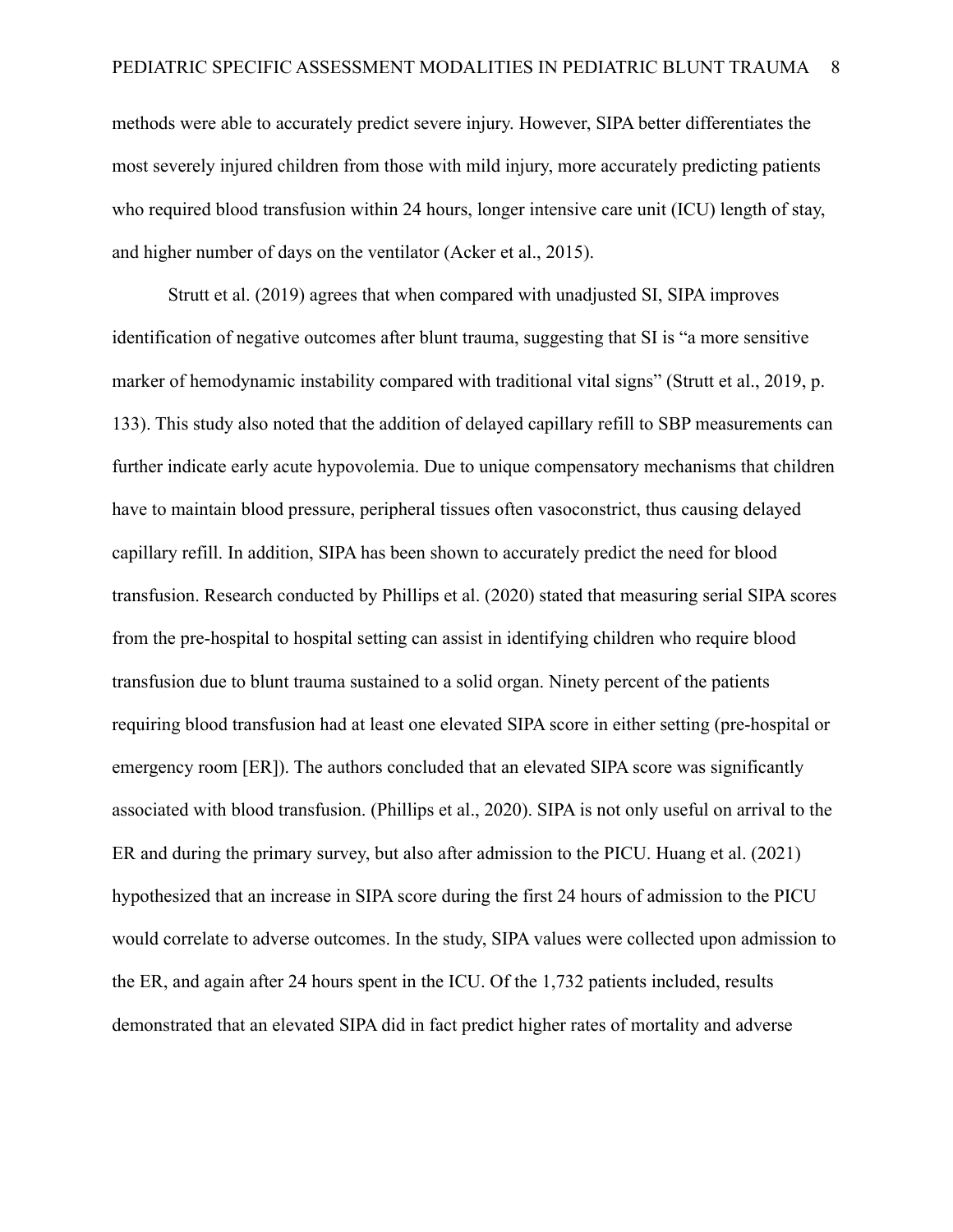methods were able to accurately predict severe injury. However, SIPA better differentiates the most severely injured children from those with mild injury, more accurately predicting patients who required blood transfusion within 24 hours, longer intensive care unit (ICU) length of stay, and higher number of days on the ventilator (Acker et al., 2015).

Strutt et al. (2019) agrees that when compared with unadjusted SI, SIPA improves identification of negative outcomes after blunt trauma, suggesting that SI is "a more sensitive marker of hemodynamic instability compared with traditional vital signs" (Strutt et al., 2019, p. 133). This study also noted that the addition of delayed capillary refill to SBP measurements can further indicate early acute hypovolemia. Due to unique compensatory mechanisms that children have to maintain blood pressure, peripheral tissues often vasoconstrict, thus causing delayed capillary refill. In addition, SIPA has been shown to accurately predict the need for blood transfusion. Research conducted by Phillips et al. (2020) stated that measuring serial SIPA scores from the pre-hospital to hospital setting can assist in identifying children who require blood transfusion due to blunt trauma sustained to a solid organ. Ninety percent of the patients requiring blood transfusion had at least one elevated SIPA score in either setting (pre-hospital or emergency room [ER]). The authors concluded that an elevated SIPA score was significantly associated with blood transfusion. (Phillips et al., 2020). SIPA is not only useful on arrival to the ER and during the primary survey, but also after admission to the PICU. Huang et al. (2021) hypothesized that an increase in SIPA score during the first 24 hours of admission to the PICU would correlate to adverse outcomes. In the study, SIPA values were collected upon admission to the ER, and again after 24 hours spent in the ICU. Of the 1,732 patients included, results demonstrated that an elevated SIPA did in fact predict higher rates of mortality and adverse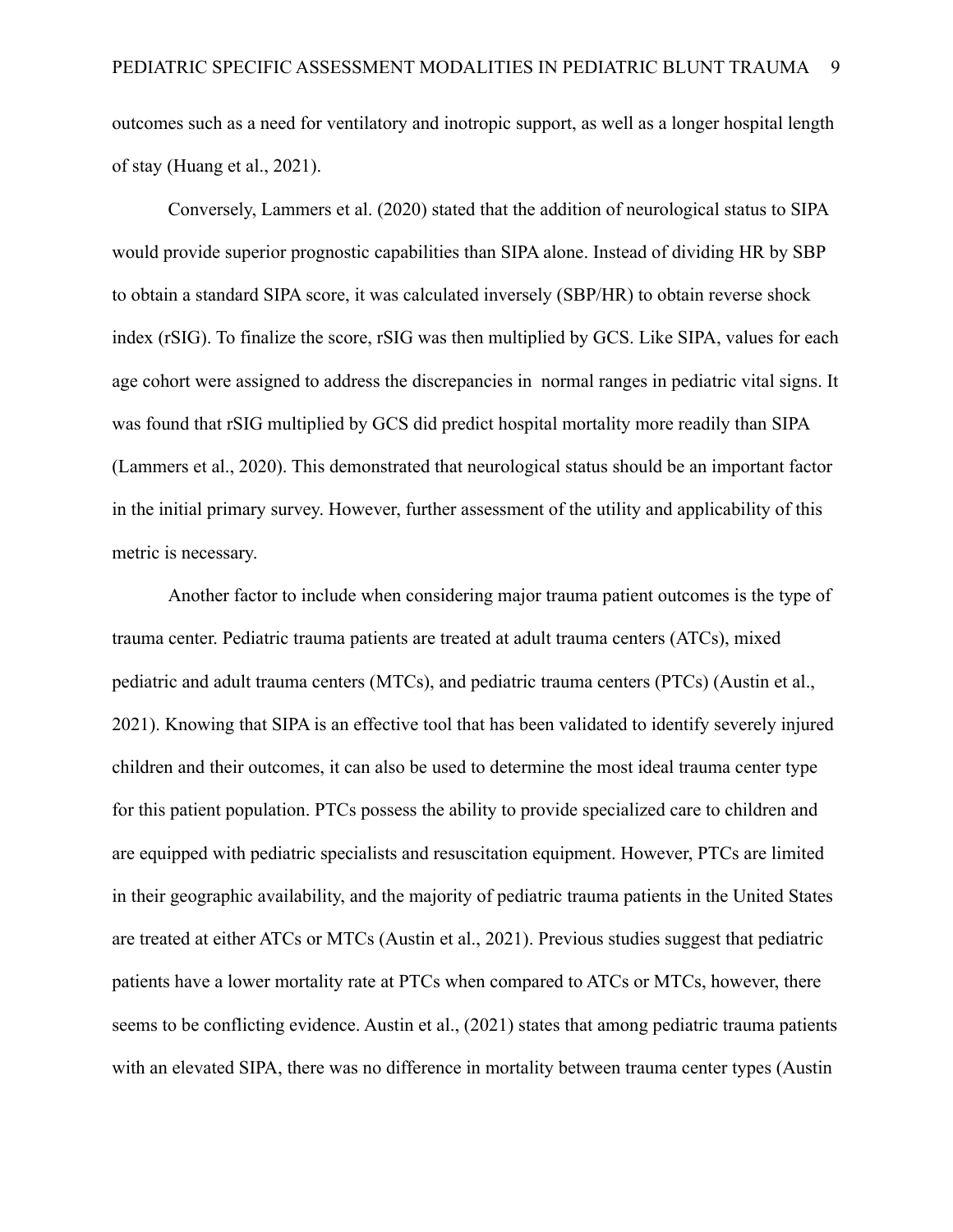outcomes such as a need for ventilatory and inotropic support, as well as a longer hospital length of stay (Huang et al., 2021).

Conversely, Lammers et al. (2020) stated that the addition of neurological status to SIPA would provide superior prognostic capabilities than SIPA alone. Instead of dividing HR by SBP to obtain a standard SIPA score, it was calculated inversely (SBP/HR) to obtain reverse shock index (rSIG). To finalize the score, rSIG was then multiplied by GCS. Like SIPA, values for each age cohort were assigned to address the discrepancies in normal ranges in pediatric vital signs. It was found that rSIG multiplied by GCS did predict hospital mortality more readily than SIPA (Lammers et al., 2020). This demonstrated that neurological status should be an important factor in the initial primary survey. However, further assessment of the utility and applicability of this metric is necessary.

Another factor to include when considering major trauma patient outcomes is the type of trauma center. Pediatric trauma patients are treated at adult trauma centers (ATCs), mixed pediatric and adult trauma centers (MTCs), and pediatric trauma centers (PTCs) (Austin et al., 2021). Knowing that SIPA is an effective tool that has been validated to identify severely injured children and their outcomes, it can also be used to determine the most ideal trauma center type for this patient population. PTCs possess the ability to provide specialized care to children and are equipped with pediatric specialists and resuscitation equipment. However, PTCs are limited in their geographic availability, and the majority of pediatric trauma patients in the United States are treated at either ATCs or MTCs (Austin et al., 2021). Previous studies suggest that pediatric patients have a lower mortality rate at PTCs when compared to ATCs or MTCs, however, there seems to be conflicting evidence. Austin et al., (2021) states that among pediatric trauma patients with an elevated SIPA, there was no difference in mortality between trauma center types (Austin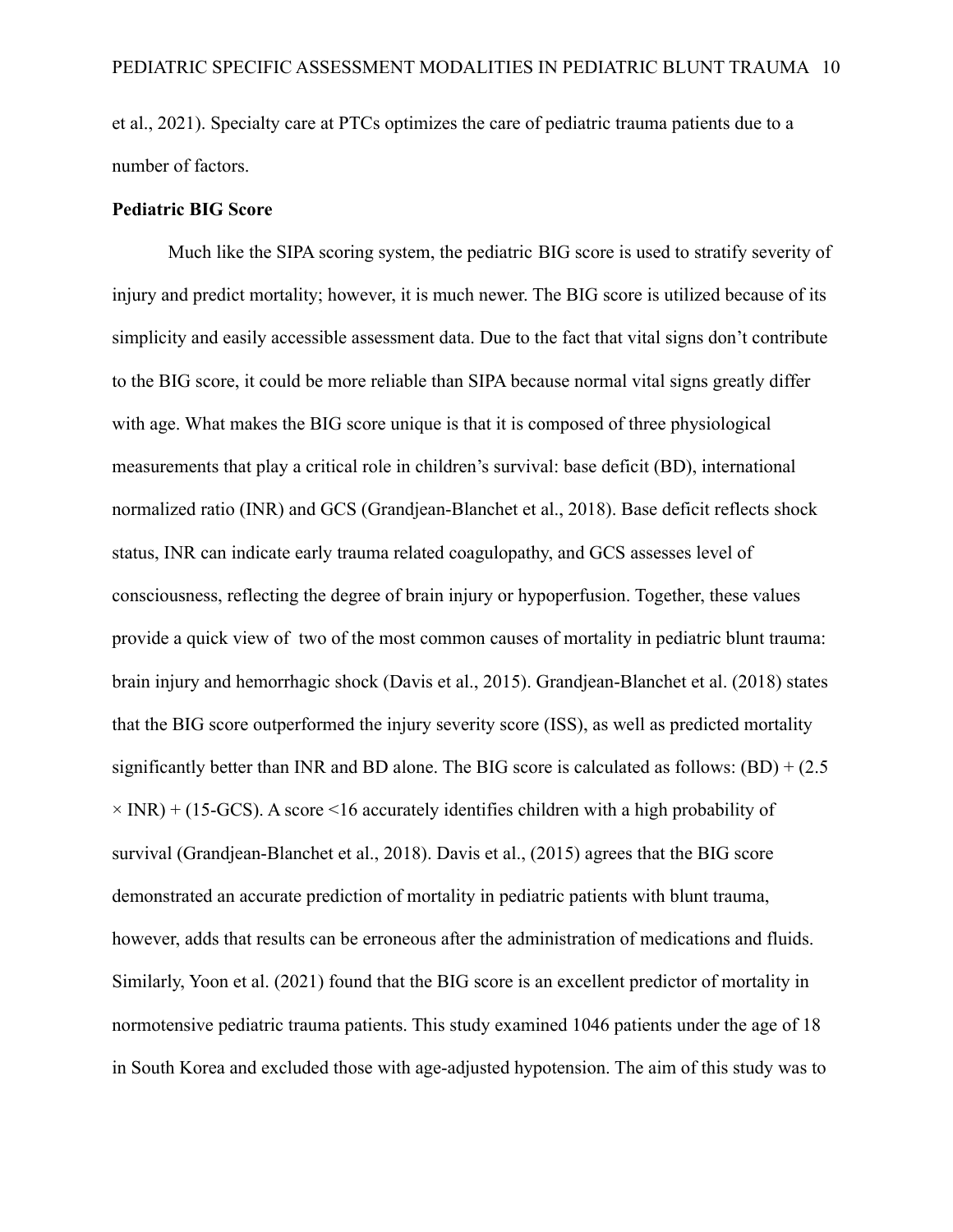et al., 2021). Specialty care at PTCs optimizes the care of pediatric trauma patients due to a number of factors.

### **Pediatric BIG Score**

Much like the SIPA scoring system, the pediatric BIG score is used to stratify severity of injury and predict mortality; however, it is much newer. The BIG score is utilized because of its simplicity and easily accessible assessment data. Due to the fact that vital signs don't contribute to the BIG score, it could be more reliable than SIPA because normal vital signs greatly differ with age. What makes the BIG score unique is that it is composed of three physiological measurements that play a critical role in children's survival: base deficit (BD), international normalized ratio (INR) and GCS (Grandjean-Blanchet et al., 2018). Base deficit reflects shock status, INR can indicate early trauma related coagulopathy, and GCS assesses level of consciousness, reflecting the degree of brain injury or hypoperfusion. Together, these values provide a quick view of two of the most common causes of mortality in pediatric blunt trauma: brain injury and hemorrhagic shock (Davis et al., 2015). Grandjean-Blanchet et al. (2018) states that the BIG score outperformed the injury severity score (ISS), as well as predicted mortality significantly better than INR and BD alone. The BIG score is calculated as follows:  $(BD) + (2.5$  $\times$  INR) + (15-GCS). A score <16 accurately identifies children with a high probability of survival (Grandjean-Blanchet et al., 2018). Davis et al., (2015) agrees that the BIG score demonstrated an accurate prediction of mortality in pediatric patients with blunt trauma, however, adds that results can be erroneous after the administration of medications and fluids. Similarly, Yoon et al. (2021) found that the BIG score is an excellent predictor of mortality in normotensive pediatric trauma patients. This study examined 1046 patients under the age of 18 in South Korea and excluded those with age-adjusted hypotension. The aim of this study was to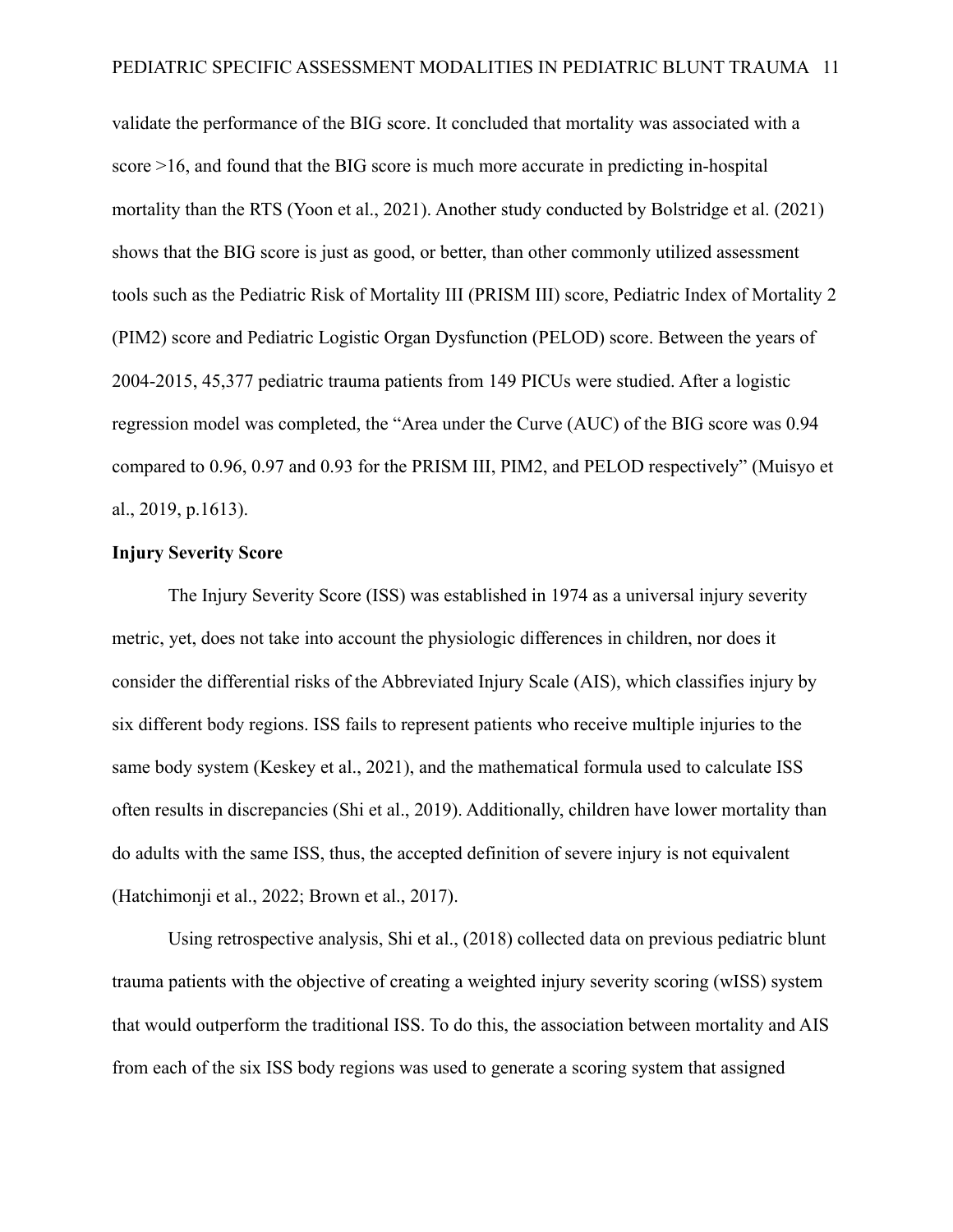validate the performance of the BIG score. It concluded that mortality was associated with a score >16, and found that the BIG score is much more accurate in predicting in-hospital mortality than the RTS (Yoon et al., 2021). Another study conducted by Bolstridge et al. (2021) shows that the BIG score is just as good, or better, than other commonly utilized assessment tools such as the Pediatric Risk of Mortality III (PRISM III) score, Pediatric Index of Mortality 2 (PIM2) score and Pediatric Logistic Organ Dysfunction (PELOD) score. Between the years of 2004-2015, 45,377 pediatric trauma patients from 149 PICUs were studied. After a logistic regression model was completed, the "Area under the Curve (AUC) of the BIG score was 0.94 compared to 0.96, 0.97 and 0.93 for the PRISM III, PIM2, and PELOD respectively" (Muisyo et al., 2019, p.1613).

### **Injury Severity Score**

The Injury Severity Score (ISS) was established in 1974 as a universal injury severity metric, yet, does not take into account the physiologic differences in children, nor does it consider the differential risks of the Abbreviated Injury Scale (AIS), which classifies injury by six different body regions. ISS fails to represent patients who receive multiple injuries to the same body system (Keskey et al., 2021), and the mathematical formula used to calculate ISS often results in discrepancies (Shi et al., 2019). Additionally, children have lower mortality than do adults with the same ISS, thus, the accepted definition of severe injury is not equivalent (Hatchimonji et al., 2022; Brown et al., 2017).

Using retrospective analysis, Shi et al., (2018) collected data on previous pediatric blunt trauma patients with the objective of creating a weighted injury severity scoring (wISS) system that would outperform the traditional ISS. To do this, the association between mortality and AIS from each of the six ISS body regions was used to generate a scoring system that assigned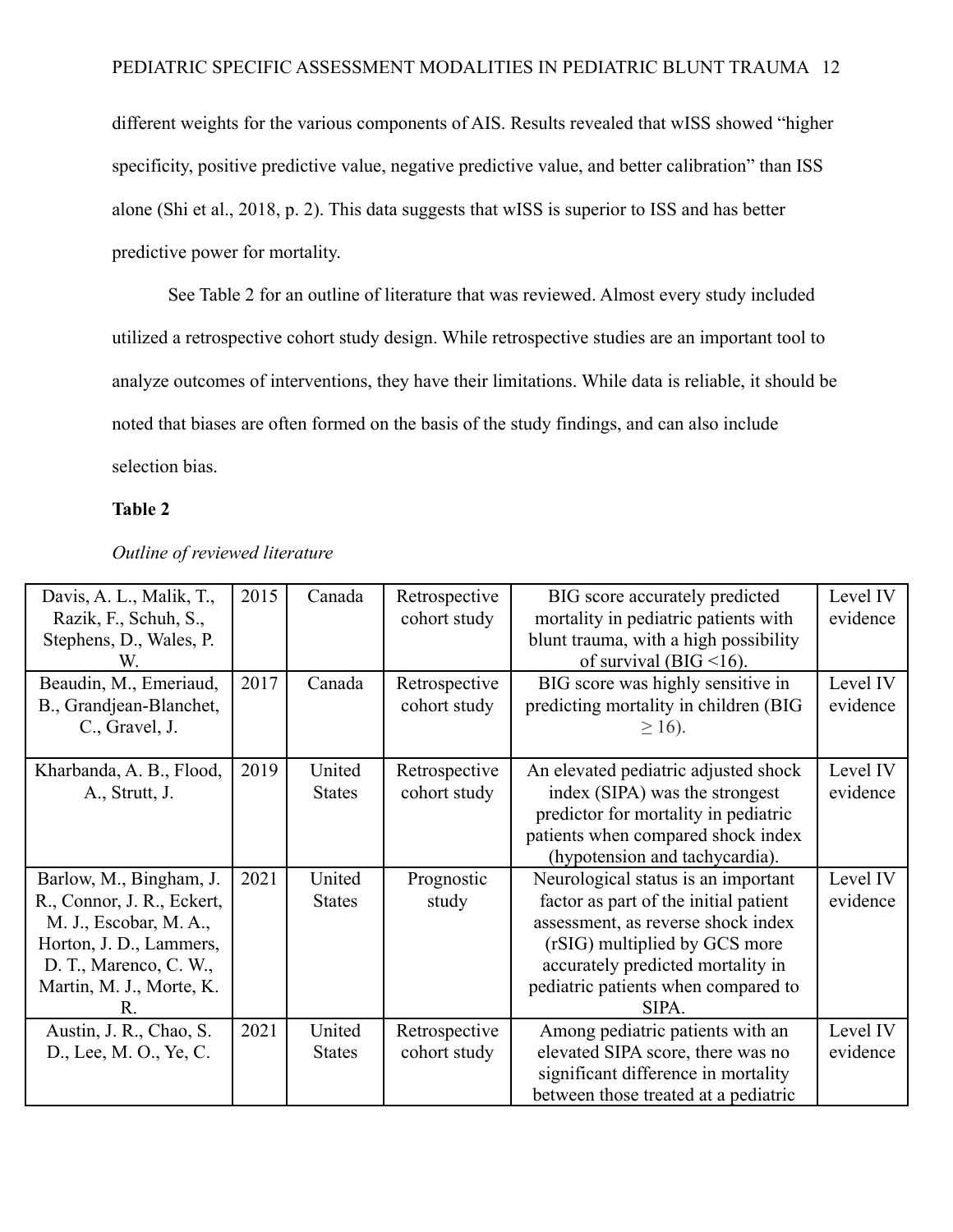different weights for the various components of AIS. Results revealed that wISS showed "higher specificity, positive predictive value, negative predictive value, and better calibration" than ISS alone (Shi et al., 2018, p. 2). This data suggests that wISS is superior to ISS and has better predictive power for mortality.

See Table 2 for an outline of literature that was reviewed. Almost every study included utilized a retrospective cohort study design. While retrospective studies are an important tool to analyze outcomes of interventions, they have their limitations. While data is reliable, it should be noted that biases are often formed on the basis of the study findings, and can also include selection bias.

### **Table 2**

| Davis, A. L., Malik, T.,   | 2015 | Canada        | Retrospective | BIG score accurately predicted        | Level IV |
|----------------------------|------|---------------|---------------|---------------------------------------|----------|
| Razik, F., Schuh, S.,      |      |               | cohort study  | mortality in pediatric patients with  | evidence |
| Stephens, D., Wales, P.    |      |               |               | blunt trauma, with a high possibility |          |
| W                          |      |               |               | of survival (BIG $\leq$ 16).          |          |
| Beaudin, M., Emeriaud,     | 2017 | Canada        | Retrospective | BIG score was highly sensitive in     | Level IV |
| B., Grandjean-Blanchet,    |      |               | cohort study  | predicting mortality in children (BIG | evidence |
| C., Gravel, J.             |      |               |               | $\geq$ 16).                           |          |
|                            |      |               |               |                                       |          |
| Kharbanda, A. B., Flood,   | 2019 | United        | Retrospective | An elevated pediatric adjusted shock  | Level IV |
| A., Strutt, J.             |      | <b>States</b> | cohort study  | index (SIPA) was the strongest        | evidence |
|                            |      |               |               | predictor for mortality in pediatric  |          |
|                            |      |               |               | patients when compared shock index    |          |
|                            |      |               |               | (hypotension and tachycardia).        |          |
| Barlow, M., Bingham, J.    | 2021 | United        | Prognostic    | Neurological status is an important   | Level IV |
| R., Connor, J. R., Eckert, |      | <b>States</b> | study         | factor as part of the initial patient | evidence |
| M. J., Escobar, M. A.,     |      |               |               | assessment, as reverse shock index    |          |
| Horton, J. D., Lammers,    |      |               |               | (rSIG) multiplied by GCS more         |          |
| D. T., Marenco, C. W.,     |      |               |               | accurately predicted mortality in     |          |
| Martin, M. J., Morte, K.   |      |               |               | pediatric patients when compared to   |          |
| R                          |      |               |               | SIPA.                                 |          |
| Austin, J. R., Chao, S.    | 2021 | United        | Retrospective | Among pediatric patients with an      | Level IV |
| D., Lee, M. O., Ye, C.     |      | <b>States</b> | cohort study  | elevated SIPA score, there was no     | evidence |
|                            |      |               |               | significant difference in mortality   |          |
|                            |      |               |               | between those treated at a pediatric  |          |

### *Outline of reviewed literature*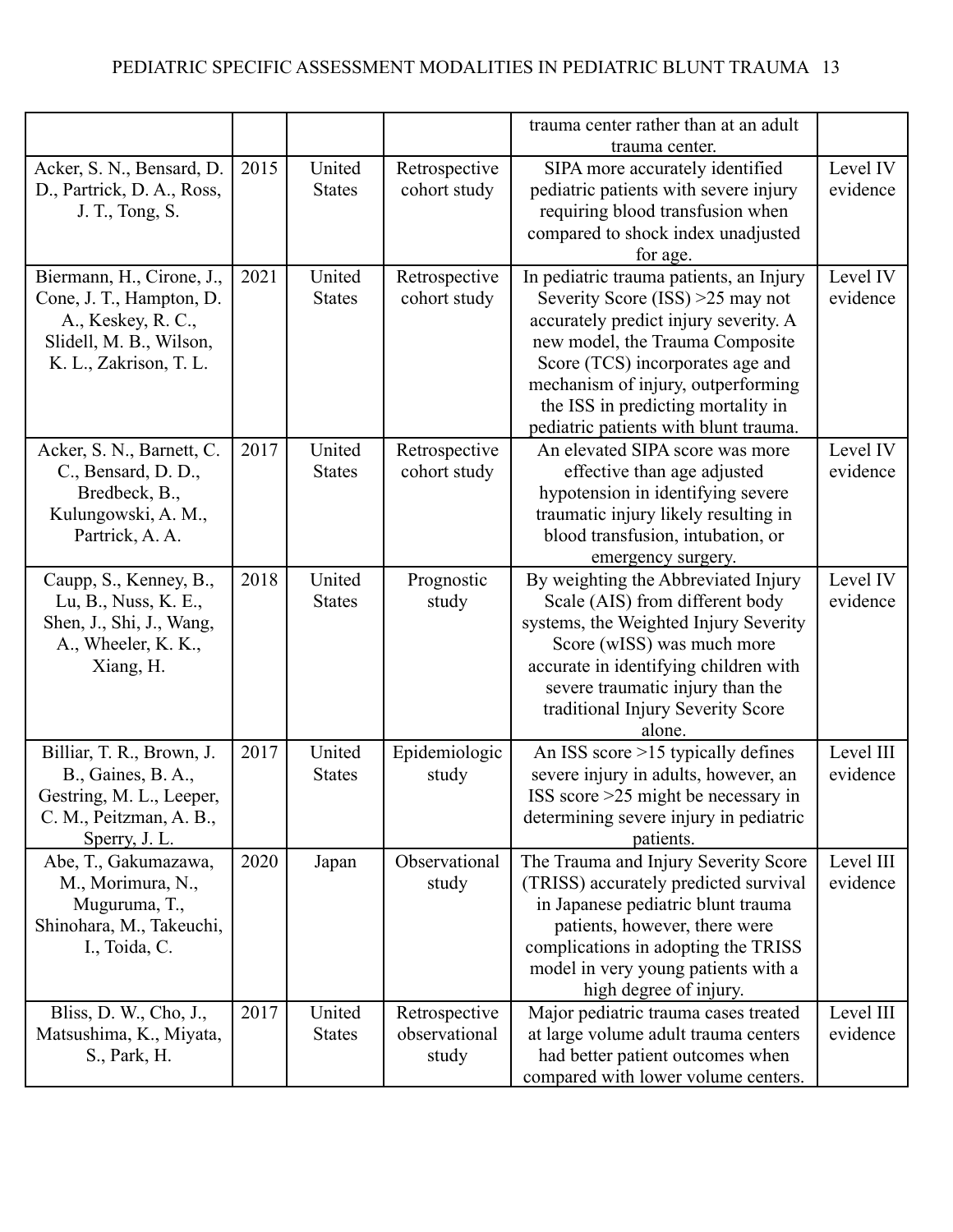|                                               |      |               |               | trauma center rather than at an adult                                    |           |
|-----------------------------------------------|------|---------------|---------------|--------------------------------------------------------------------------|-----------|
|                                               |      |               |               | trauma center.                                                           |           |
| Acker, S. N., Bensard, D.                     | 2015 | United        | Retrospective | SIPA more accurately identified                                          | Level IV  |
| D., Partrick, D. A., Ross,                    |      | <b>States</b> | cohort study  | pediatric patients with severe injury                                    | evidence  |
| J. T., Tong, S.                               |      |               |               | requiring blood transfusion when                                         |           |
|                                               |      |               |               | compared to shock index unadjusted                                       |           |
|                                               |      |               |               | for age.                                                                 |           |
| Biermann, H., Cirone, J.,                     | 2021 | United        | Retrospective | In pediatric trauma patients, an Injury                                  | Level IV  |
| Cone, J. T., Hampton, D.                      |      | <b>States</b> | cohort study  | Severity Score $(ISS) > 25$ may not                                      | evidence  |
|                                               |      |               |               |                                                                          |           |
| A., Keskey, R. C.,<br>Slidell, M. B., Wilson, |      |               |               | accurately predict injury severity. A<br>new model, the Trauma Composite |           |
|                                               |      |               |               | Score (TCS) incorporates age and                                         |           |
| K. L., Zakrison, T. L.                        |      |               |               |                                                                          |           |
|                                               |      |               |               | mechanism of injury, outperforming                                       |           |
|                                               |      |               |               | the ISS in predicting mortality in                                       |           |
|                                               |      |               |               | pediatric patients with blunt trauma.                                    |           |
| Acker, S. N., Barnett, C.                     | 2017 | United        | Retrospective | An elevated SIPA score was more                                          | Level IV  |
| C., Bensard, D. D.,                           |      | <b>States</b> | cohort study  | effective than age adjusted                                              | evidence  |
| Bredbeck, B.,                                 |      |               |               | hypotension in identifying severe                                        |           |
| Kulungowski, A. M.,                           |      |               |               | traumatic injury likely resulting in                                     |           |
| Partrick, A. A.                               |      |               |               | blood transfusion, intubation, or                                        |           |
|                                               |      |               |               | emergency surgery.                                                       |           |
| Caupp, S., Kenney, B.,                        | 2018 | United        | Prognostic    | By weighting the Abbreviated Injury                                      | Level IV  |
| Lu, B., Nuss, K. E.,                          |      | <b>States</b> | study         | Scale (AIS) from different body                                          | evidence  |
| Shen, J., Shi, J., Wang,                      |      |               |               | systems, the Weighted Injury Severity                                    |           |
| A., Wheeler, K. K.,                           |      |               |               | Score (wISS) was much more                                               |           |
| Xiang, H.                                     |      |               |               | accurate in identifying children with                                    |           |
|                                               |      |               |               | severe traumatic injury than the                                         |           |
|                                               |      |               |               | traditional Injury Severity Score                                        |           |
|                                               |      |               |               | alone.                                                                   |           |
| Billiar, T. R., Brown, J.                     | 2017 | United        | Epidemiologic | An ISS score $>15$ typically defines                                     | Level III |
| B., Gaines, B. A.,                            |      | <b>States</b> | study         | severe injury in adults, however, an                                     | evidence  |
| Gestring, M. L., Leeper,                      |      |               |               | ISS score $>25$ might be necessary in                                    |           |
| C. M., Peitzman, A. B.,                       |      |               |               | determining severe injury in pediatric                                   |           |
| Sperry, J. L.                                 |      |               |               | patients.                                                                |           |
| Abe, T., Gakumazawa,                          | 2020 | Japan         | Observational | The Trauma and Injury Severity Score                                     | Level III |
| M., Morimura, N.,                             |      |               | study         | (TRISS) accurately predicted survival                                    | evidence  |
| Muguruma, T.,                                 |      |               |               | in Japanese pediatric blunt trauma                                       |           |
| Shinohara, M., Takeuchi,                      |      |               |               | patients, however, there were                                            |           |
| I., Toida, C.                                 |      |               |               | complications in adopting the TRISS                                      |           |
|                                               |      |               |               | model in very young patients with a                                      |           |
|                                               |      |               |               | high degree of injury.                                                   |           |
| Bliss, D. W., Cho, J.,                        | 2017 | United        | Retrospective | Major pediatric trauma cases treated                                     | Level III |
| Matsushima, K., Miyata,                       |      | <b>States</b> | observational | at large volume adult trauma centers                                     | evidence  |
| S., Park, H.                                  |      |               | study         | had better patient outcomes when                                         |           |
|                                               |      |               |               | compared with lower volume centers.                                      |           |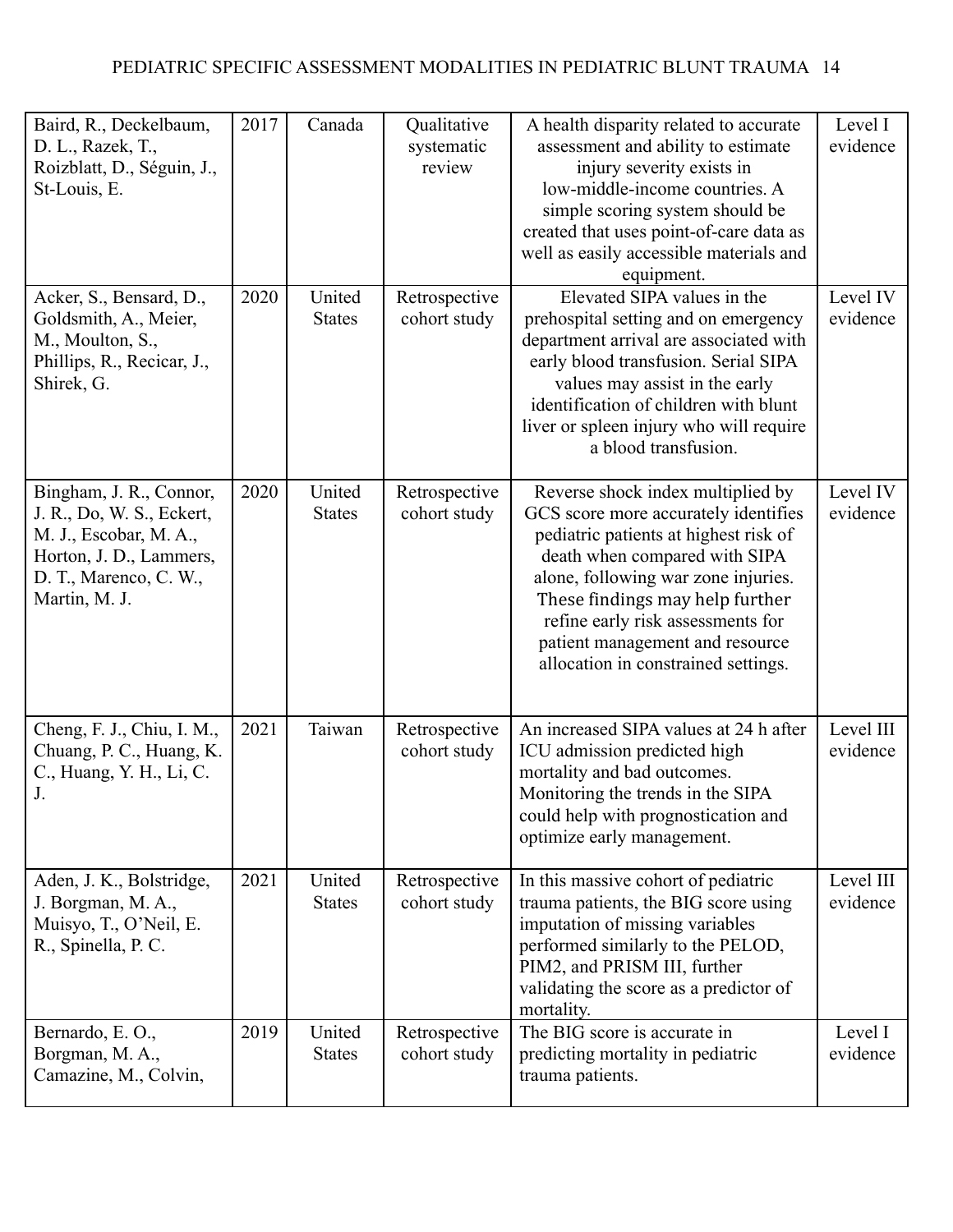| Baird, R., Deckelbaum,<br>D. L., Razek, T.,<br>Roizblatt, D., Séguin, J.,<br>St-Louis, E.                                                            | 2017 | Canada                  | Qualitative<br>systematic<br>review | A health disparity related to accurate<br>assessment and ability to estimate<br>injury severity exists in<br>low-middle-income countries. A<br>simple scoring system should be<br>created that uses point-of-care data as<br>well as easily accessible materials and<br>equipment.                                                           | Level I<br>evidence   |
|------------------------------------------------------------------------------------------------------------------------------------------------------|------|-------------------------|-------------------------------------|----------------------------------------------------------------------------------------------------------------------------------------------------------------------------------------------------------------------------------------------------------------------------------------------------------------------------------------------|-----------------------|
| Acker, S., Bensard, D.,<br>Goldsmith, A., Meier,<br>M., Moulton, S.,<br>Phillips, R., Recicar, J.,<br>Shirek, G.                                     | 2020 | United<br><b>States</b> | Retrospective<br>cohort study       | Elevated SIPA values in the<br>prehospital setting and on emergency<br>department arrival are associated with<br>early blood transfusion. Serial SIPA<br>values may assist in the early<br>identification of children with blunt<br>liver or spleen injury who will require<br>a blood transfusion.                                          | Level IV<br>evidence  |
| Bingham, J. R., Connor,<br>J. R., Do, W. S., Eckert,<br>M. J., Escobar, M. A.,<br>Horton, J. D., Lammers,<br>D. T., Marenco, C. W.,<br>Martin, M. J. | 2020 | United<br><b>States</b> | Retrospective<br>cohort study       | Reverse shock index multiplied by<br>GCS score more accurately identifies<br>pediatric patients at highest risk of<br>death when compared with SIPA<br>alone, following war zone injuries.<br>These findings may help further<br>refine early risk assessments for<br>patient management and resource<br>allocation in constrained settings. | Level IV<br>evidence  |
| Cheng, F. J., Chiu, I. M.,<br>Chuang, P. C., Huang, K.<br>C., Huang, Y. H., Li, C.<br>J.                                                             | 2021 | Taiwan                  | Retrospective<br>cohort study       | An increased SIPA values at 24 h after<br>ICU admission predicted high<br>mortality and bad outcomes.<br>Monitoring the trends in the SIPA<br>could help with prognostication and<br>optimize early management.                                                                                                                              | Level III<br>evidence |
| Aden, J. K., Bolstridge,<br>J. Borgman, M. A.,<br>Muisyo, T., O'Neil, E.<br>R., Spinella, P. C.                                                      | 2021 | United<br><b>States</b> | Retrospective<br>cohort study       | In this massive cohort of pediatric<br>trauma patients, the BIG score using<br>imputation of missing variables<br>performed similarly to the PELOD,<br>PIM2, and PRISM III, further<br>validating the score as a predictor of<br>mortality.                                                                                                  | Level III<br>evidence |
| Bernardo, E.O.,<br>Borgman, M. A.,<br>Camazine, M., Colvin,                                                                                          | 2019 | United<br><b>States</b> | Retrospective<br>cohort study       | The BIG score is accurate in<br>predicting mortality in pediatric<br>trauma patients.                                                                                                                                                                                                                                                        | Level I<br>evidence   |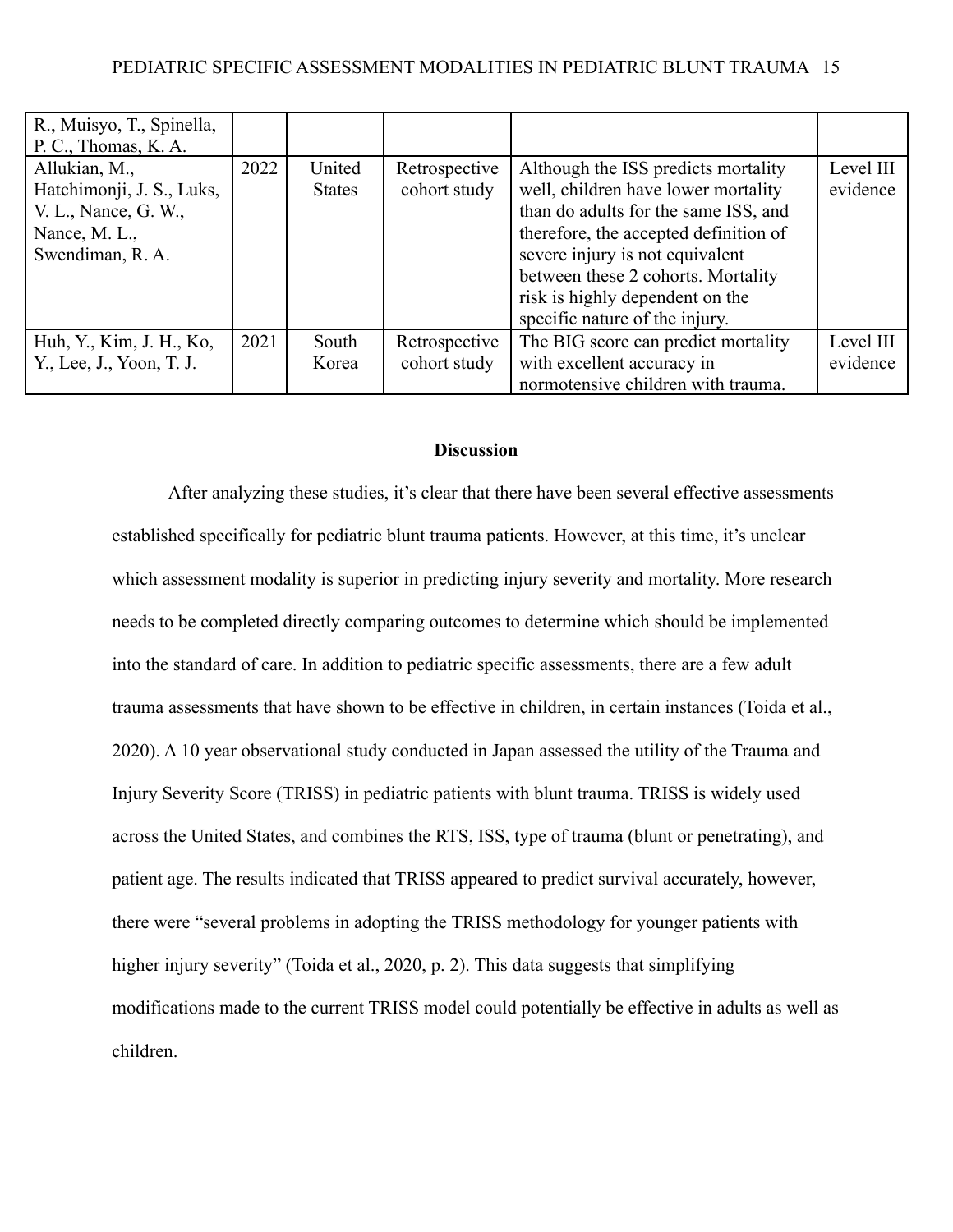### PEDIATRIC SPECIFIC ASSESSMENT MODALITIES IN PEDIATRIC BLUNT TRAUMA 15

| R., Muisyo, T., Spinella,<br>P. C., Thomas, K. A.                                                       |      |                         |                               |                                                                                                                                                                                                                                                                                                           |                       |
|---------------------------------------------------------------------------------------------------------|------|-------------------------|-------------------------------|-----------------------------------------------------------------------------------------------------------------------------------------------------------------------------------------------------------------------------------------------------------------------------------------------------------|-----------------------|
| Allukian, M.,<br>Hatchimonji, J. S., Luks,<br>V. L., Nance, G. W.,<br>Nance, M. L.,<br>Swendiman, R. A. | 2022 | United<br><b>States</b> | Retrospective<br>cohort study | Although the ISS predicts mortality<br>well, children have lower mortality<br>than do adults for the same ISS, and<br>therefore, the accepted definition of<br>severe injury is not equivalent<br>between these 2 cohorts. Mortality<br>risk is highly dependent on the<br>specific nature of the injury. | Level III<br>evidence |
| Huh, Y., Kim, J. H., Ko,                                                                                | 2021 | South                   | Retrospective                 | The BIG score can predict mortality                                                                                                                                                                                                                                                                       | Level III             |
| Y., Lee, J., Yoon, T. J.                                                                                |      | Korea                   | cohort study                  | with excellent accuracy in                                                                                                                                                                                                                                                                                | evidence              |
|                                                                                                         |      |                         |                               | normotensive children with trauma.                                                                                                                                                                                                                                                                        |                       |

### **Discussion**

After analyzing these studies, it's clear that there have been several effective assessments established specifically for pediatric blunt trauma patients. However, at this time, it's unclear which assessment modality is superior in predicting injury severity and mortality. More research needs to be completed directly comparing outcomes to determine which should be implemented into the standard of care. In addition to pediatric specific assessments, there are a few adult trauma assessments that have shown to be effective in children, in certain instances (Toida et al., 2020). A 10 year observational study conducted in Japan assessed the utility of the Trauma and Injury Severity Score (TRISS) in pediatric patients with blunt trauma. TRISS is widely used across the United States, and combines the RTS, ISS, type of trauma (blunt or penetrating), and patient age. The results indicated that TRISS appeared to predict survival accurately, however, there were "several problems in adopting the TRISS methodology for younger patients with higher injury severity" (Toida et al., 2020, p. 2). This data suggests that simplifying modifications made to the current TRISS model could potentially be effective in adults as well as children.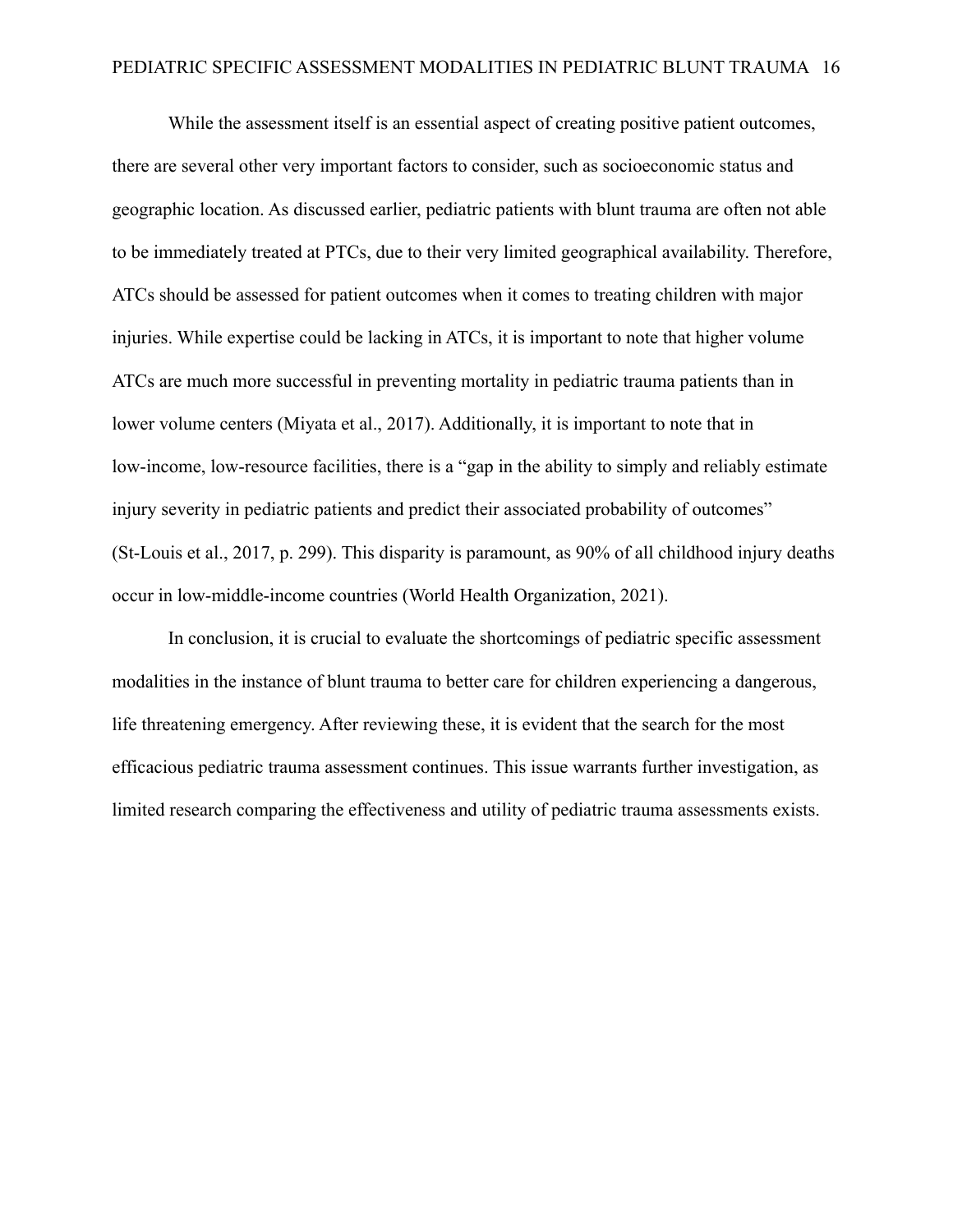While the assessment itself is an essential aspect of creating positive patient outcomes, there are several other very important factors to consider, such as socioeconomic status and geographic location. As discussed earlier, pediatric patients with blunt trauma are often not able to be immediately treated at PTCs, due to their very limited geographical availability. Therefore, ATCs should be assessed for patient outcomes when it comes to treating children with major injuries. While expertise could be lacking in ATCs, it is important to note that higher volume ATCs are much more successful in preventing mortality in pediatric trauma patients than in lower volume centers (Miyata et al., 2017). Additionally, it is important to note that in low-income, low-resource facilities, there is a "gap in the ability to simply and reliably estimate injury severity in pediatric patients and predict their associated probability of outcomes" (St-Louis et al., 2017, p. 299). This disparity is paramount, as 90% of all childhood injury deaths occur in low-middle-income countries (World Health Organization, 2021).

In conclusion, it is crucial to evaluate the shortcomings of pediatric specific assessment modalities in the instance of blunt trauma to better care for children experiencing a dangerous, life threatening emergency. After reviewing these, it is evident that the search for the most efficacious pediatric trauma assessment continues. This issue warrants further investigation, as limited research comparing the effectiveness and utility of pediatric trauma assessments exists.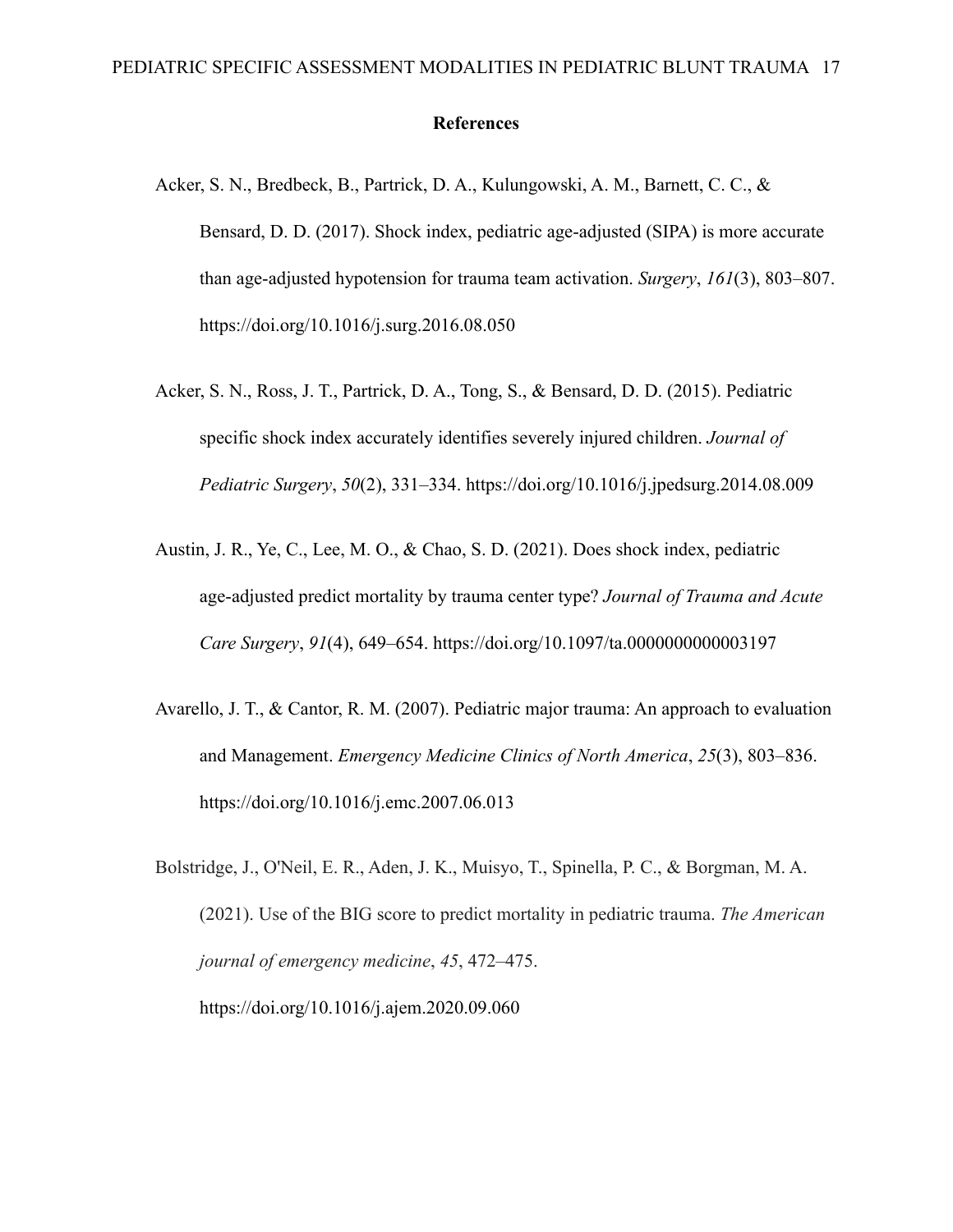### **References**

- Acker, S. N., Bredbeck, B., Partrick, D. A., Kulungowski, A. M., Barnett, C. C., & Bensard, D. D. (2017). Shock index, pediatric age-adjusted (SIPA) is more accurate than age-adjusted hypotension for trauma team activation. *Surgery*, *161*(3), 803–807. https://doi.org/10.1016/j.surg.2016.08.050
- Acker, S. N., Ross, J. T., Partrick, D. A., Tong, S., & Bensard, D. D. (2015). Pediatric specific shock index accurately identifies severely injured children. *Journal of Pediatric Surgery*, *50*(2), 331–334. https://doi.org/10.1016/j.jpedsurg.2014.08.009
- Austin, J. R., Ye, C., Lee, M. O., & Chao, S. D. (2021). Does shock index, pediatric age-adjusted predict mortality by trauma center type? *Journal of Trauma and Acute Care Surgery*, *91*(4), 649–654. https://doi.org/10.1097/ta.0000000000003197
- Avarello, J. T., & Cantor, R. M. (2007). Pediatric major trauma: An approach to evaluation and Management. *Emergency Medicine Clinics of North America*, *25*(3), 803–836. https://doi.org/10.1016/j.emc.2007.06.013
- Bolstridge, J., O'Neil, E. R., Aden, J. K., Muisyo, T., Spinella, P. C., & Borgman, M. A. (2021). Use of the BIG score to predict mortality in pediatric trauma. *The American journal of emergency medicine*, *45*, 472–475. <https://doi.org/10.1016/j.ajem.2020.09.060>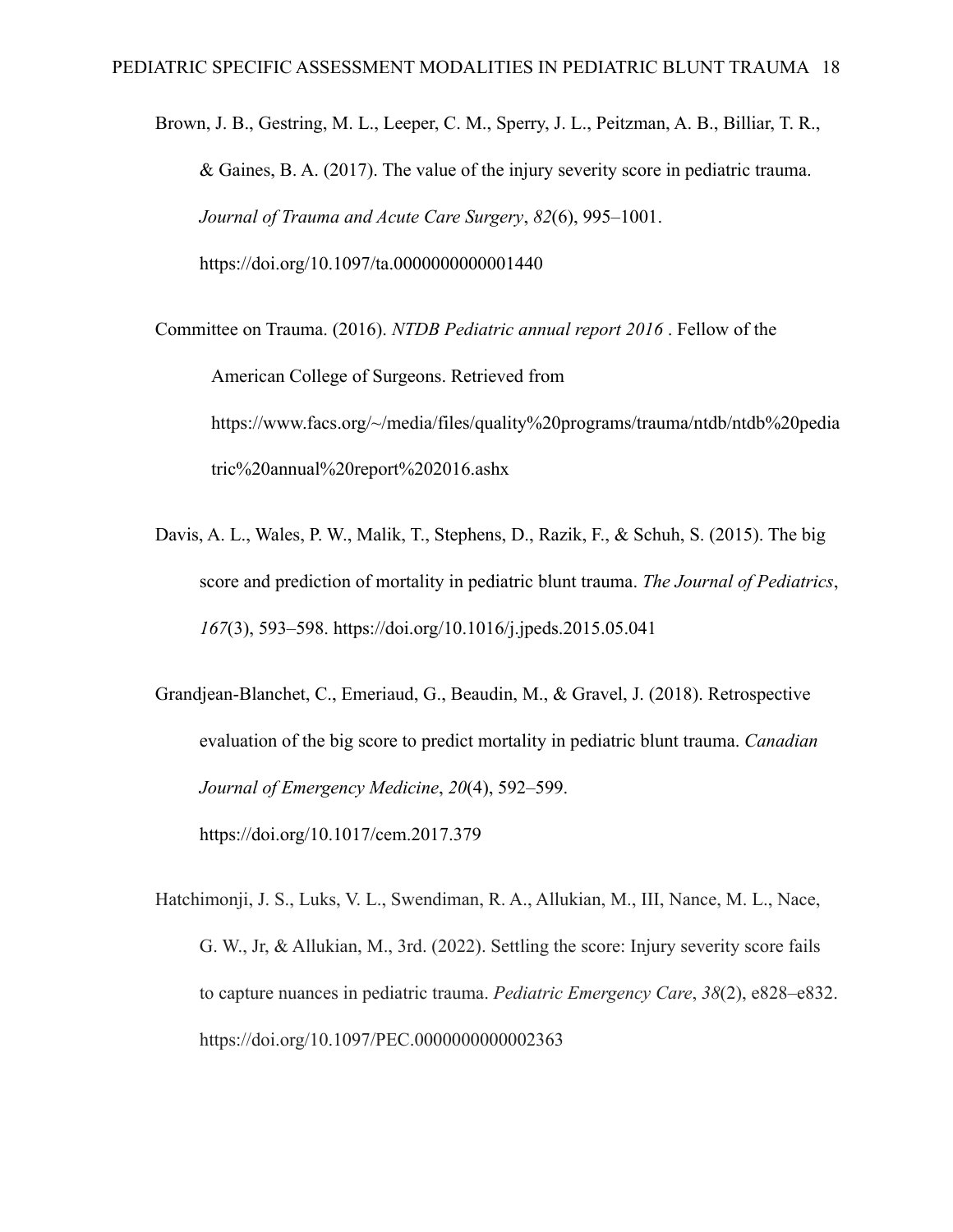Brown, J. B., Gestring, M. L., Leeper, C. M., Sperry, J. L., Peitzman, A. B., Billiar, T. R., & Gaines, B. A. (2017). The value of the injury severity score in pediatric trauma. *Journal of Trauma and Acute Care Surgery*, *82*(6), 995–1001. https://doi.org/10.1097/ta.0000000000001440

Committee on Trauma. (2016). *NTDB Pediatric annual report 2016* . Fellow of the American College of Surgeons. Retrieved from https://www.facs.org/~/media/files/quality%20programs/trauma/ntdb/ntdb%20pedia tric%20annual%20report%202016.ashx

- Davis, A. L., Wales, P. W., Malik, T., Stephens, D., Razik, F., & Schuh, S. (2015). The big score and prediction of mortality in pediatric blunt trauma. *The Journal of Pediatrics*, *167*(3), 593–598. https://doi.org/10.1016/j.jpeds.2015.05.041
- Grandjean-Blanchet, C., Emeriaud, G., Beaudin, M., & Gravel, J. (2018). Retrospective evaluation of the big score to predict mortality in pediatric blunt trauma. *Canadian Journal of Emergency Medicine*, *20*(4), 592–599. https://doi.org/10.1017/cem.2017.379
- Hatchimonji, J. S., Luks, V. L., Swendiman, R. A., Allukian, M., III, Nance, M. L., Nace, G. W., Jr, & Allukian, M., 3rd. (2022). Settling the score: Injury severity score fails to capture nuances in pediatric trauma. *Pediatric Emergency Care*, *38*(2), e828–e832. https://doi.org/10.1097/PEC.0000000000002363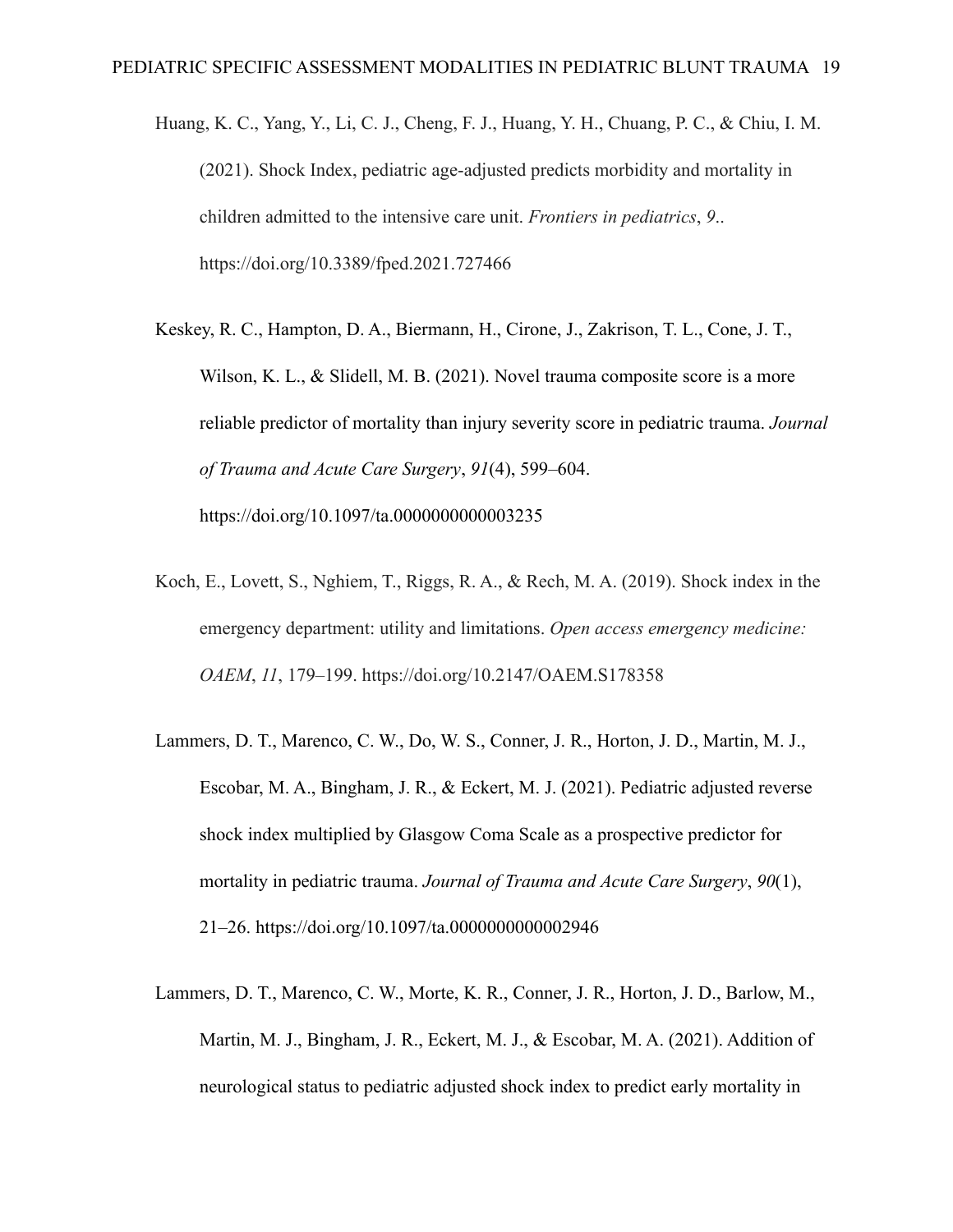- Huang, K. C., Yang, Y., Li, C. J., Cheng, F. J., Huang, Y. H., Chuang, P. C., & Chiu, I. M. (2021). Shock Index, pediatric age-adjusted predicts morbidity and mortality in children admitted to the intensive care unit. *Frontiers in pediatrics*, *9*.. https://doi.org/10.3389/fped.2021.727466
- Keskey, R. C., Hampton, D. A., Biermann, H., Cirone, J., Zakrison, T. L., Cone, J. T., Wilson, K. L., & Slidell, M. B. (2021). Novel trauma composite score is a more reliable predictor of mortality than injury severity score in pediatric trauma. *Journal of Trauma and Acute Care Surgery*, *91*(4), 599–604. https://doi.org/10.1097/ta.0000000000003235
- Koch, E., Lovett, S., Nghiem, T., Riggs, R. A., & Rech, M. A. (2019). Shock index in the emergency department: utility and limitations. *Open access emergency medicine: OAEM*, *11*, 179–199. https://doi.org/10.2147/OAEM.S178358
- Lammers, D. T., Marenco, C. W., Do, W. S., Conner, J. R., Horton, J. D., Martin, M. J., Escobar, M. A., Bingham, J. R., & Eckert, M. J. (2021). Pediatric adjusted reverse shock index multiplied by Glasgow Coma Scale as a prospective predictor for mortality in pediatric trauma. *Journal of Trauma and Acute Care Surgery*, *90*(1), 21–26. https://doi.org/10.1097/ta.0000000000002946
- Lammers, D. T., Marenco, C. W., Morte, K. R., Conner, J. R., Horton, J. D., Barlow, M., Martin, M. J., Bingham, J. R., Eckert, M. J., & Escobar, M. A. (2021). Addition of neurological status to pediatric adjusted shock index to predict early mortality in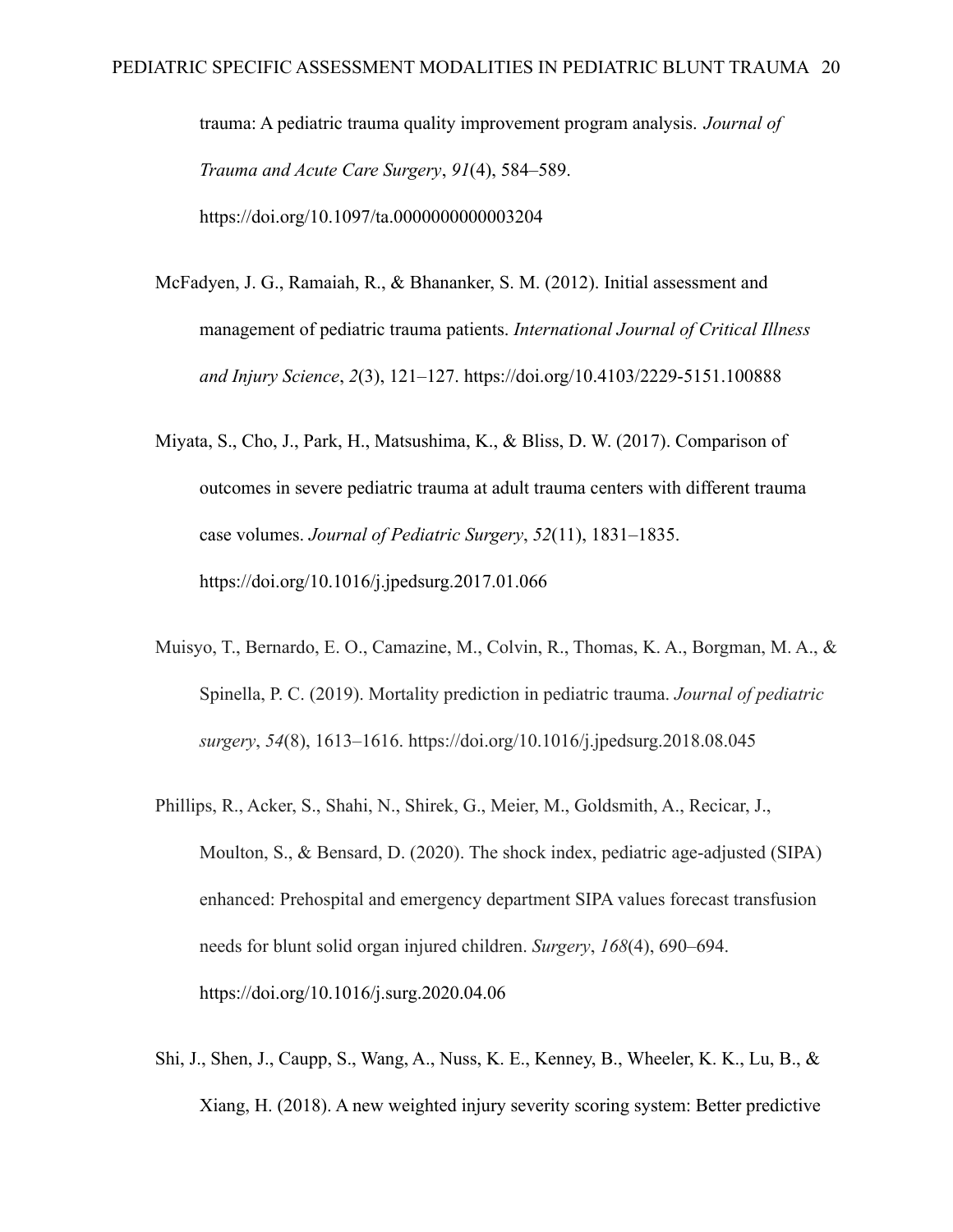trauma: A pediatric trauma quality improvement program analysis. *Journal of Trauma and Acute Care Surgery*, *91*(4), 584–589. https://doi.org/10.1097/ta.0000000000003204

- McFadyen, J. G., Ramaiah, R., & Bhananker, S. M. (2012). Initial assessment and management of pediatric trauma patients. *International Journal of Critical Illness and Injury Science*, *2*(3), 121–127. https://doi.org/10.4103/2229-5151.100888
- Miyata, S., Cho, J., Park, H., Matsushima, K., & Bliss, D. W. (2017). Comparison of outcomes in severe pediatric trauma at adult trauma centers with different trauma case volumes. *Journal of Pediatric Surgery*, *52*(11), 1831–1835. https://doi.org/10.1016/j.jpedsurg.2017.01.066
- Muisyo, T., Bernardo, E. O., Camazine, M., Colvin, R., Thomas, K. A., Borgman, M. A., & Spinella, P. C. (2019). Mortality prediction in pediatric trauma. *Journal of pediatric surgery*, *54*(8), 1613–1616. https://doi.org/10.1016/j.jpedsurg.2018.08.045
- Phillips, R., Acker, S., Shahi, N., Shirek, G., Meier, M., Goldsmith, A., Recicar, J., Moulton, S., & Bensard, D. (2020). The shock index, pediatric age-adjusted (SIPA) enhanced: Prehospital and emergency department SIPA values forecast transfusion needs for blunt solid organ injured children. *Surgery*, *168*(4), 690–694. https://doi.org/10.1016/j.surg.2020.04.06
- Shi, J., Shen, J., Caupp, S., Wang, A., Nuss, K. E., Kenney, B., Wheeler, K. K., Lu, B., & Xiang, H. (2018). A new weighted injury severity scoring system: Better predictive